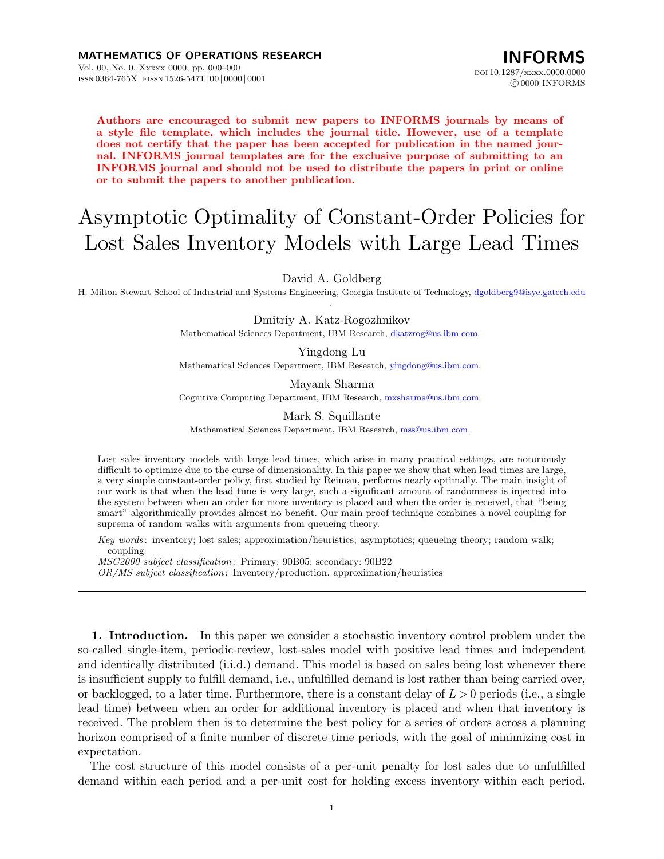**Authors are encouraged to submit new papers to INFORMS journals by means of a style file template, which includes the journal title. However, use of a template does not certify that the paper has been accepted for publication in the named journal. INFORMS journal templates are for the exclusive purpose of submitting to an INFORMS journal and should not be used to distribute the papers in print or online or to submit the papers to another publication.**

# Asymptotic Optimality of Constant-Order Policies for Lost Sales Inventory Models with Large Lead Times

## David A. Goldberg

H. Milton Stewart School of Industrial and Systems Engineering, Georgia Institute of Technology, [dgoldberg9@isye.gatech.edu](mailto:dgoldberg9@isye.gatech.edu ) .

> Dmitriy A. Katz-Rogozhnikov Mathematical Sciences Department, IBM Research, [dkatzrog@us.ibm.com.](mailto:dkatzrog@us.ibm.com)

> Yingdong Lu Mathematical Sciences Department, IBM Research, [yingdong@us.ibm.com](mailto:yingdong@us.ibm.com).

> Mayank Sharma Cognitive Computing Department, IBM Research, [mxsharma@us.ibm.com.](mailto:mxsharma@us.ibm.com)

Mark S. Squillante Mathematical Sciences Department, IBM Research, [mss@us.ibm.com.](mailto:mss@us.ibm.com)

Lost sales inventory models with large lead times, which arise in many practical settings, are notoriously difficult to optimize due to the curse of dimensionality. In this paper we show that when lead times are large, a very simple constant-order policy, first studied by Reiman, performs nearly optimally. The main insight of our work is that when the lead time is very large, such a significant amount of randomness is injected into the system between when an order for more inventory is placed and when the order is received, that "being smart" algorithmically provides almost no benefit. Our main proof technique combines a novel coupling for suprema of random walks with arguments from queueing theory.

*Key words* : inventory; lost sales; approximation/heuristics; asymptotics; queueing theory; random walk; coupling

*MSC2000 subject classification* : Primary: 90B05; secondary: 90B22

*OR/MS subject classification* : Inventory/production, approximation/heuristics

**1. Introduction.** In this paper we consider a stochastic inventory control problem under the so-called single-item, periodic-review, lost-sales model with positive lead times and independent and identically distributed (i.i.d.) demand. This model is based on sales being lost whenever there is insufficient supply to fulfill demand, i.e., unfulfilled demand is lost rather than being carried over, or backlogged, to a later time. Furthermore, there is a constant delay of *L >* 0 periods (i.e., a single lead time) between when an order for additional inventory is placed and when that inventory is received. The problem then is to determine the best policy for a series of orders across a planning horizon comprised of a finite number of discrete time periods, with the goal of minimizing cost in expectation.

The cost structure of this model consists of a per-unit penalty for lost sales due to unfulfilled demand within each period and a per-unit cost for holding excess inventory within each period.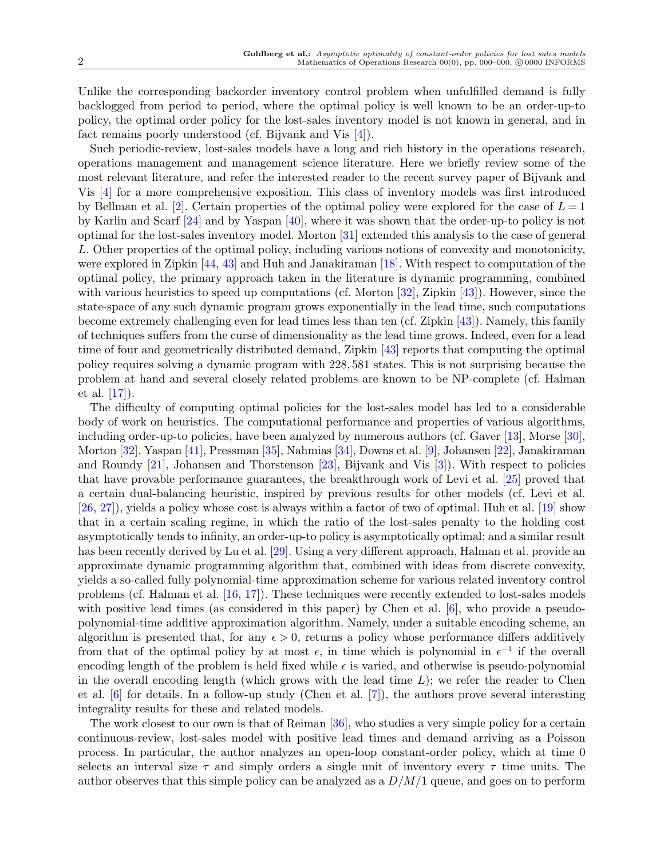Unlike the corresponding backorder inventory control problem when unfulfilled demand is fully backlogged from period to period, where the optimal policy is well known to be an order-up-to policy, the optimal order policy for the lost-sales inventory model is not known in general, and in fact remains poorly understood (cf. Bijvank and Vis [\[4\]](#page-18-0)).

Such periodic-review, lost-sales models have a long and rich history in the operations research, operations management and management science literature. Here we briefly review some of the most relevant literature, and refer the interested reader to the recent survey paper of Bijvank and Vis [[4](#page-18-0)] for a more comprehensive exposition. This class of inventory models was first introduced by Bellman et al. [[2](#page-18-1)]. Certain properties of the optimal policy were explored for the case of  $L = 1$ by Karlin and Scarf [[24\]](#page-19-0) and by Yaspan [\[40](#page-19-1)], where it was shown that the order-up-to policy is not optimal for the lost-sales inventory model. Morton [[31](#page-19-2)] extended this analysis to the case of general *L*. Other properties of the optimal policy, including various notions of convexity and monotonicity, were explored in Zipkin [\[44](#page-19-3), [43\]](#page-19-4) and Huh and Janakiraman [[18\]](#page-18-2). With respect to computation of the optimal policy, the primary approach taken in the literature is dynamic programming, combined with various heuristics to speed up computations (cf. Morton [\[32](#page-19-5)], Zipkin [[43\]](#page-19-4)). However, since the state-space of any such dynamic program grows exponentially in the lead time, such computations become extremely challenging even for lead times less than ten (cf. Zipkin [[43](#page-19-4)]). Namely, this family of techniques suffers from the curse of dimensionality as the lead time grows. Indeed, even for a lead time of four and geometrically distributed demand, Zipkin [\[43](#page-19-4)] reports that computing the optimal policy requires solving a dynamic program with 228*,* 581 states. This is not surprising because the problem at hand and several closely related problems are known to be NP-complete (cf. Halman et al. [\[17](#page-18-3)]).

The difficulty of computing optimal policies for the lost-sales model has led to a considerable body of work on heuristics. The computational performance and properties of various algorithms, including order-up-to policies, have been analyzed by numerous authors (cf. Gaver [[13\]](#page-18-4), Morse [[30\]](#page-19-6), Morton [\[32](#page-19-5)], Yaspan [\[41](#page-19-7)], Pressman [[35](#page-19-8)], Nahmias [[34\]](#page-19-9), Downs et al. [[9](#page-18-5)], Johansen [\[22](#page-19-10)], Janakiraman and Roundy [[21\]](#page-18-6), Johansen and Thorstenson [[23\]](#page-19-11), Bijvank and Vis [[3](#page-18-7)]). With respect to policies that have provable performance guarantees, the breakthrough work of Levi et al. [[25\]](#page-19-12) proved that a certain dual-balancing heuristic, inspired by previous results for other models (cf. Levi et al. [\[26](#page-19-13), [27](#page-19-14)]), yields a policy whose cost is always within a factor of two of optimal. Huh et al. [\[19](#page-18-8)] show that in a certain scaling regime, in which the ratio of the lost-sales penalty to the holding cost asymptotically tends to infinity, an order-up-to policy is asymptotically optimal; and a similar result has been recently derived by Lu et al. [[29](#page-19-15)]. Using a very different approach, Halman et al. provide an approximate dynamic programming algorithm that, combined with ideas from discrete convexity, yields a so-called fully polynomial-time approximation scheme for various related inventory control problems (cf. Halman et al. [[16,](#page-18-9) [17\]](#page-18-3)). These techniques were recently extended to lost-sales models with positive lead times (as considered in this paper) by Chen et al. [[6\]](#page-18-10), who provide a pseudopolynomial-time additive approximation algorithm. Namely, under a suitable encoding scheme, an algorithm is presented that, for any  $\epsilon > 0$ , returns a policy whose performance differs additively from that of the optimal policy by at most  $\epsilon$ , in time which is polynomial in  $\epsilon^{-1}$  if the overall encoding length of the problem is held fixed while  $\epsilon$  is varied, and otherwise is pseudo-polynomial in the overall encoding length (which grows with the lead time *L*); we refer the reader to Chen et al. [\[6\]](#page-18-10) for details. In a follow-up study (Chen et al. [[7](#page-18-11)]), the authors prove several interesting integrality results for these and related models.

The work closest to our own is that of Reiman [[36\]](#page-19-16), who studies a very simple policy for a certain continuous-review, lost-sales model with positive lead times and demand arriving as a Poisson process. In particular, the author analyzes an open-loop constant-order policy, which at time 0 selects an interval size  $\tau$  and simply orders a single unit of inventory every  $\tau$  time units. The author observes that this simple policy can be analyzed as a *D/M/*1 queue, and goes on to perform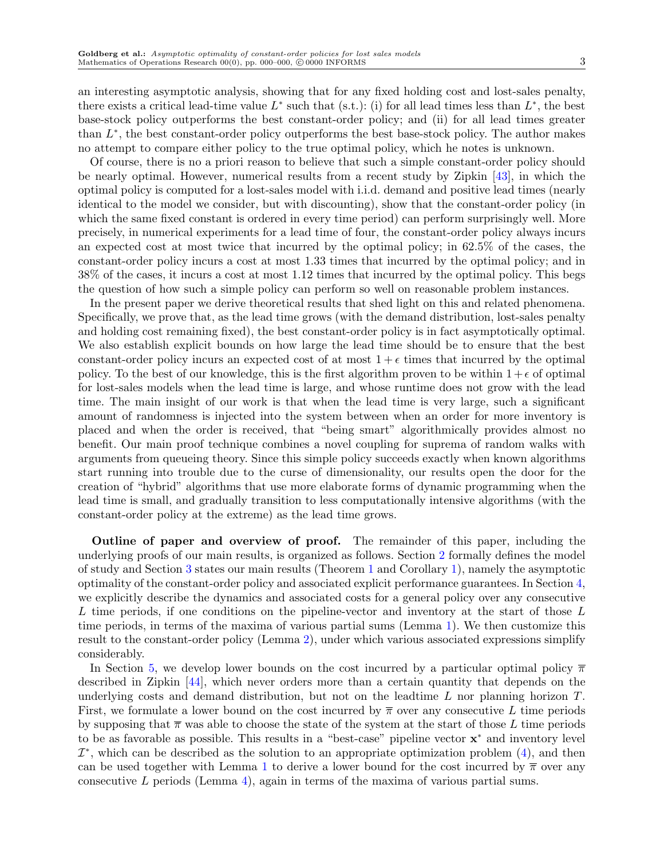an interesting asymptotic analysis, showing that for any fixed holding cost and lost-sales penalty, there exists a critical lead-time value  $L^*$  such that (s.t.): (i) for all lead times less than  $L^*$ , the best base-stock policy outperforms the best constant-order policy; and (ii) for all lead times greater than *L ∗* , the best constant-order policy outperforms the best base-stock policy. The author makes no attempt to compare either policy to the true optimal policy, which he notes is unknown.

Of course, there is no a priori reason to believe that such a simple constant-order policy should be nearly optimal. However, numerical results from a recent study by Zipkin [[43](#page-19-4)], in which the optimal policy is computed for a lost-sales model with i.i.d. demand and positive lead times (nearly identical to the model we consider, but with discounting), show that the constant-order policy (in which the same fixed constant is ordered in every time period) can perform surprisingly well. More precisely, in numerical experiments for a lead time of four, the constant-order policy always incurs an expected cost at most twice that incurred by the optimal policy; in 62.5% of the cases, the constant-order policy incurs a cost at most 1*.*33 times that incurred by the optimal policy; and in 38% of the cases, it incurs a cost at most 1*.*12 times that incurred by the optimal policy. This begs the question of how such a simple policy can perform so well on reasonable problem instances.

In the present paper we derive theoretical results that shed light on this and related phenomena. Specifically, we prove that, as the lead time grows (with the demand distribution, lost-sales penalty and holding cost remaining fixed), the best constant-order policy is in fact asymptotically optimal. We also establish explicit bounds on how large the lead time should be to ensure that the best constant-order policy incurs an expected cost of at most  $1 + \epsilon$  times that incurred by the optimal policy. To the best of our knowledge, this is the first algorithm proven to be within  $1 + \epsilon$  of optimal for lost-sales models when the lead time is large, and whose runtime does not grow with the lead time. The main insight of our work is that when the lead time is very large, such a significant amount of randomness is injected into the system between when an order for more inventory is placed and when the order is received, that "being smart" algorithmically provides almost no benefit. Our main proof technique combines a novel coupling for suprema of random walks with arguments from queueing theory. Since this simple policy succeeds exactly when known algorithms start running into trouble due to the curse of dimensionality, our results open the door for the creation of "hybrid" algorithms that use more elaborate forms of dynamic programming when the lead time is small, and gradually transition to less computationally intensive algorithms (with the constant-order policy at the extreme) as the lead time grows.

**Outline of paper and overview of proof.** The remainder of this paper, including the underlying proofs of our main results, is organized as follows. Section [2](#page-3-0) formally defines the model of study and Section [3](#page-4-0) states our main results (Theorem [1](#page-5-0) and Corollary [1\)](#page-6-0), namely the asymptotic optimality of the constant-order policy and associated explicit performance guarantees. In Section [4,](#page-6-1) we explicitly describe the dynamics and associated costs for a general policy over any consecutive *L* time periods, if one conditions on the pipeline-vector and inventory at the start of those *L* time periods, in terms of the maxima of various partial sums (Lemma [1\)](#page-6-2). We then customize this result to the constant-order policy (Lemma [2](#page-7-0)), under which various associated expressions simplify considerably.

In Section [5,](#page-7-1) we develop lower bounds on the cost incurred by a particular optimal policy *π* described in Zipkin [[44\]](#page-19-3), which never orders more than a certain quantity that depends on the underlying costs and demand distribution, but not on the leadtime *L* nor planning horizon *T*. First, we formulate a lower bound on the cost incurred by  $\bar{\pi}$  over any consecutive L time periods by supposing that  $\bar{\pi}$  was able to choose the state of the system at the start of those L time periods to be as favorable as possible. This results in a "best-case" pipeline vector **x** *<sup>∗</sup>* and inventory level *I ∗* , which can be described as the solution to an appropriate optimization problem [\(4\)](#page-8-0), and then can be used together with Lemma [1](#page-6-2) to derive a lower bound for the cost incurred by  $\bar{\pi}$  over any consecutive *L* periods (Lemma [4](#page-8-1)), again in terms of the maxima of various partial sums.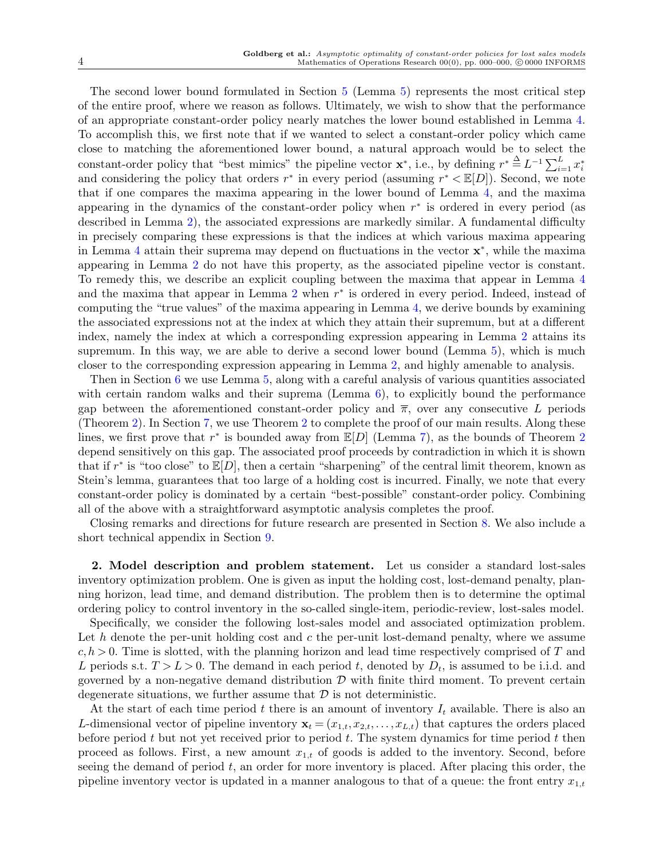The second lower bound formulated in Section [5](#page-7-1) (Lemma [5\)](#page-9-0) represents the most critical step of the entire proof, where we reason as follows. Ultimately, we wish to show that the performance of an appropriate constant-order policy nearly matches the lower bound established in Lemma [4.](#page-8-1) To accomplish this, we first note that if we wanted to select a constant-order policy which came close to matching the aforementioned lower bound, a natural approach would be to select the constant-order policy that "best mimics" the pipeline vector  $\mathbf{x}^*$ , i.e., by defining  $r^* \stackrel{\Delta}{=} L^{-1} \sum_{i=1}^L x_i^*$ and considering the policy that orders *r ∗* in every period (assuming *r <sup>∗</sup> <* E[*D*]). Second, we note that if one compares the maxima appearing in the lower bound of Lemma [4,](#page-8-1) and the maxima appearing in the dynamics of the constant-order policy when *r ∗* is ordered in every period (as described in Lemma [2](#page-7-0)), the associated expressions are markedly similar. A fundamental difficulty in precisely comparing these expressions is that the indices at which various maxima appearing in Lemma [4](#page-8-1) attain their suprema may depend on fluctuations in the vector **x** *∗* , while the maxima appearing in Lemma [2](#page-7-0) do not have this property, as the associated pipeline vector is constant. To remedy this, we describe an explicit coupling between the maxima that appear in Lemma [4](#page-8-1) and the maxima that appear in Lemma [2](#page-7-0) when *r ∗* is ordered in every period. Indeed, instead of computing the "true values" of the maxima appearing in Lemma [4](#page-8-1), we derive bounds by examining the associated expressions not at the index at which they attain their supremum, but at a different index, namely the index at which a corresponding expression appearing in Lemma [2](#page-7-0) attains its supremum. In this way, we are able to derive a second lower bound (Lemma [5\)](#page-9-0), which is much closer to the corresponding expression appearing in Lemma [2](#page-7-0), and highly amenable to analysis.

Then in Section [6](#page-9-1) we use Lemma [5](#page-9-0), along with a careful analysis of various quantities associated with certain random walks and their suprema (Lemma  $6$ ), to explicitly bound the performance gap between the aforementioned constant-order policy and  $\bar{\pi}$ , over any consecutive L periods (Theorem [2](#page-9-2)). In Section [7](#page-11-0), we use Theorem [2](#page-9-2) to complete the proof of our main results. Along these lines, we first prove that *r ∗* is bounded away from E[*D*] (Lemma [7\)](#page-11-1), as the bounds of Theorem [2](#page-9-2) depend sensitively on this gap. The associated proof proceeds by contradiction in which it is shown that if  $r^*$  is "too close" to  $\mathbb{E}[D]$ , then a certain "sharpening" of the central limit theorem, known as Stein's lemma, guarantees that too large of a holding cost is incurred. Finally, we note that every constant-order policy is dominated by a certain "best-possible" constant-order policy. Combining all of the above with a straightforward asymptotic analysis completes the proof.

Closing remarks and directions for future research are presented in Section [8.](#page-15-0) We also include a short technical appendix in Section [9](#page-16-0).

<span id="page-3-0"></span>**2. Model description and problem statement.** Let us consider a standard lost-sales inventory optimization problem. One is given as input the holding cost, lost-demand penalty, planning horizon, lead time, and demand distribution. The problem then is to determine the optimal ordering policy to control inventory in the so-called single-item, periodic-review, lost-sales model.

Specifically, we consider the following lost-sales model and associated optimization problem. Let h denote the per-unit holding cost and c the per-unit lost-demand penalty, where we assume *c, h >* 0. Time is slotted, with the planning horizon and lead time respectively comprised of *T* and *L* periods s.t.  $T > L > 0$ . The demand in each period *t*, denoted by  $D_t$ , is assumed to be i.i.d. and governed by a non-negative demand distribution *D* with finite third moment. To prevent certain degenerate situations, we further assume that *D* is not deterministic.

At the start of each time period *t* there is an amount of inventory *I<sup>t</sup>* available. There is also an *L*-dimensional vector of pipeline inventory  $\mathbf{x}_t = (x_{1,t}, x_{2,t}, \ldots, x_{L,t})$  that captures the orders placed before period *t* but not yet received prior to period *t*. The system dynamics for time period *t* then proceed as follows. First, a new amount  $x_{1,t}$  of goods is added to the inventory. Second, before seeing the demand of period *t*, an order for more inventory is placed. After placing this order, the pipeline inventory vector is updated in a manner analogous to that of a queue: the front entry  $x_{1,t}$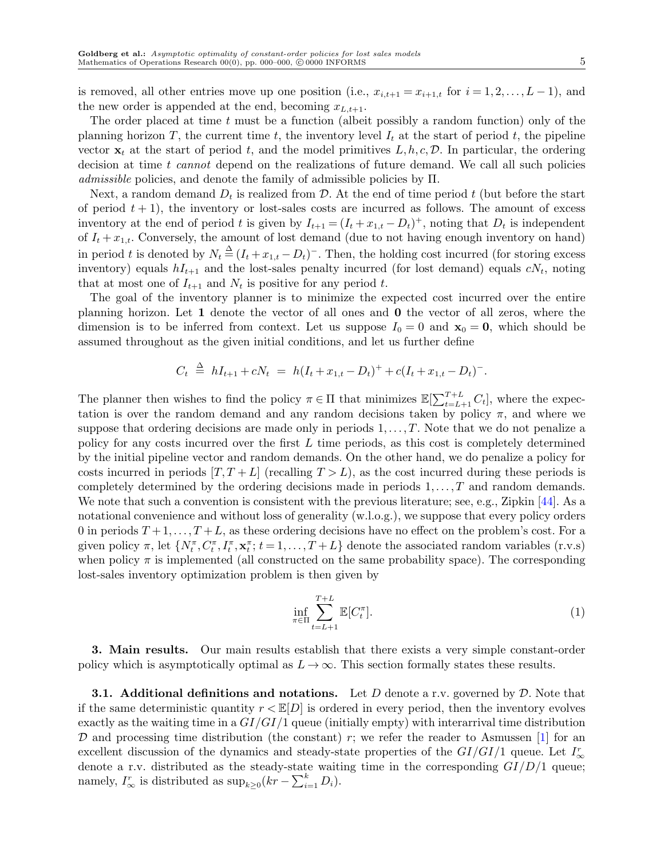is removed, all other entries move up one position (i.e.,  $x_{i,t+1} = x_{i+1,t}$  for  $i = 1,2,...,L-1$ ), and the new order is appended at the end, becoming  $x_{L,t+1}$ .

The order placed at time *t* must be a function (albeit possibly a random function) only of the planning horizon *T*, the current time  $t$ , the inventory level  $I_t$  at the start of period  $t$ , the pipeline vector  $\mathbf{x}_t$  at the start of period t, and the model primitives  $L, h, c, \mathcal{D}$ . In particular, the ordering decision at time *t cannot* depend on the realizations of future demand. We call all such policies *admissible* policies, and denote the family of admissible policies by Π.

Next, a random demand  $D_t$  is realized from  $D$ . At the end of time period  $t$  (but before the start of period  $t + 1$ , the inventory or lost-sales costs are incurred as follows. The amount of excess inventory at the end of period *t* is given by  $I_{t+1} = (I_t + x_{1,t} - D_t)^+$ , noting that  $D_t$  is independent of  $I_t + x_{1,t}$ . Conversely, the amount of lost demand (due to not having enough inventory on hand) in period t is denoted by  $N_t \triangleq (I_t + x_{1,t} - D_t)^{-}$ . Then, the holding cost incurred (for storing excess inventory) equals  $hI_{t+1}$  and the lost-sales penalty incurred (for lost demand) equals  $cN_t$ , noting that at most one of  $I_{t+1}$  and  $N_t$  is positive for any period t.

The goal of the inventory planner is to minimize the expected cost incurred over the entire planning horizon. Let **1** denote the vector of all ones and **0** the vector of all zeros, where the dimension is to be inferred from context. Let us suppose  $I_0 = 0$  and  $\mathbf{x}_0 = \mathbf{0}$ , which should be assumed throughout as the given initial conditions, and let us further define

$$
C_t \triangleq hI_{t+1} + cN_t \ = \ h(I_t + x_{1,t} - D_t)^+ + c(I_t + x_{1,t} - D_t)^-.
$$

The planner then wishes to find the policy  $\pi \in \Pi$  that minimizes  $\mathbb{E}[\sum_{t=L+1}^{T+L} C_t]$ , where the expectation is over the random demand and any random decisions taken by policy  $\pi$ , and where we suppose that ordering decisions are made only in periods  $1, \ldots, T$ . Note that we do not penalize a policy for any costs incurred over the first *L* time periods, as this cost is completely determined by the initial pipeline vector and random demands. On the other hand, we do penalize a policy for costs incurred in periods  $[T, T + L]$  (recalling  $T > L$ ), as the cost incurred during these periods is completely determined by the ordering decisions made in periods 1*,. .., T* and random demands. We note that such a convention is consistent with the previous literature; see, e.g., Zipkin [[44\]](#page-19-3). As a notational convenience and without loss of generality (w.l.o.g.), we suppose that every policy orders 0 in periods  $T + 1, \ldots, T + L$ , as these ordering decisions have no effect on the problem's cost. For a given policy  $\pi$ , let  $\{N_t^{\pi}, C_t^{\pi}, I_t^{\pi}, \mathbf{x}_t^{\pi}; t = 1, ..., T + L\}$  denote the associated random variables (r.v.s) when policy  $\pi$  is implemented (all constructed on the same probability space). The corresponding lost-sales inventory optimization problem is then given by

<span id="page-4-1"></span>
$$
\inf_{\pi \in \Pi} \sum_{t=L+1}^{T+L} \mathbb{E}[C_t^{\pi}].
$$
\n(1)

<span id="page-4-0"></span>**3. Main results.** Our main results establish that there exists a very simple constant-order policy which is asymptotically optimal as  $L \to \infty$ . This section formally states these results.

**3.1. Additional definitions and notations.** Let *D* denote a r.v. governed by *D*. Note that if the same deterministic quantity  $r \leq \mathbb{E}[D]$  is ordered in every period, then the inventory evolves exactly as the waiting time in a *GI/GI/*1 queue (initially empty) with interarrival time distribution  $D$  and processing time distribution (the constant) *r*; we refer the reader to Asmussen [[1\]](#page-18-12) for an excellent discussion of the dynamics and steady-state properties of the *GI/GI/*1 queue. Let *I r ∞* denote a r.v. distributed as the steady-state waiting time in the corresponding *GI/D/*1 queue; namely,  $I^r_{\infty}$  is distributed as  $\sup_{k \geq 0} (kr - \sum_{i=1}^k D_i)$ .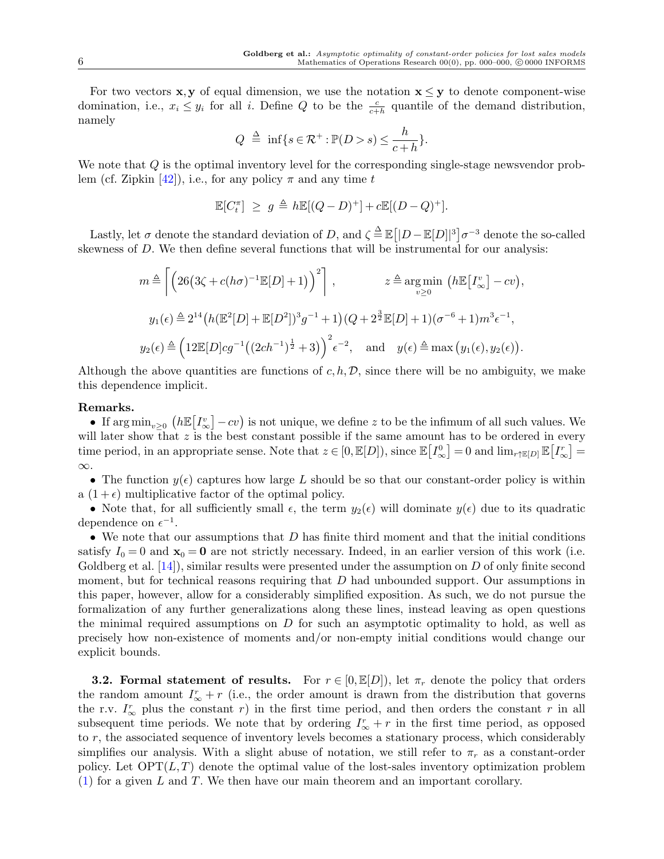For two vectors **x**, **y** of equal dimension, we use the notation  $\mathbf{x} \leq \mathbf{y}$  to denote component-wise domination, i.e.,  $x_i \leq y_i$  for all *i*. Define *Q* to be the  $\frac{c}{c+h}$  quantile of the demand distribution, namely

$$
Q \triangleq \inf\{s \in \mathcal{R}^+ : \mathbb{P}(D > s) \leq \frac{h}{c+h}\}.
$$

We note that *Q* is the optimal inventory level for the corresponding single-stage newsvendor problem (cf. Zipkin  $[42]$  $[42]$ ), i.e., for any policy  $\pi$  and any time *t* 

$$
\mathbb{E}[C_t^{\pi}] \ge g \triangleq h \mathbb{E}[(Q-D)^+] + c \mathbb{E}[(D-Q)^+].
$$

Lastly, let  $\sigma$  denote the standard deviation of *D*, and  $\zeta \triangleq \mathbb{E} \left[ |D - \mathbb{E}[D]|^3 \right] \sigma^{-3}$  denote the so-called skewness of *D*. We then define several functions that will be instrumental for our analysis:

$$
m \triangleq \left[ \left( 26\left(3\zeta + c(h\sigma)^{-1}\mathbb{E}[D] + 1\right) \right)^2 \right], \qquad z \triangleq \arg\min_{v \geq 0} \left( h\mathbb{E}\left[I^v_{\infty}\right] - cv \right),
$$
  

$$
y_1(\epsilon) \triangleq 2^{14} \left( h\left(\mathbb{E}^2[D] + \mathbb{E}[D^2]\right)^3 g^{-1} + 1 \right) \left( Q + 2^{\frac{3}{2}} \mathbb{E}[D] + 1 \right) \left( \sigma^{-6} + 1 \right) m^3 \epsilon^{-1},
$$
  

$$
y_2(\epsilon) \triangleq \left( 12 \mathbb{E}[D]cg^{-1} \left( (2ch^{-1})^{\frac{1}{2}} + 3 \right) \right)^2 \epsilon^{-2}, \text{ and } y(\epsilon) \triangleq \max\left( y_1(\epsilon), y_2(\epsilon) \right).
$$

Although the above quantities are functions of  $c, h, \mathcal{D}$ , since there will be no ambiguity, we make this dependence implicit.

## **Remarks.**

• If  $\arg\min_{v\geq 0} (h\mathbb{E}[I^v_\infty])$ *<sup>v</sup>*</sup><sub>∞</sub><sup>*j*</sup> −*cv*) is not unique, we define *z* to be the infimum of all such values. We will later show that z is the best constant possible if the same amount has to be ordered in every time period, in an appropriate sense. Note that  $z \in [0, \mathbb{E}[D])$ , since  $\mathbb{E}[I^0_\infty]$  $\left[\sum_{\infty}^{0}\right] = 0$  and  $\lim_{r \uparrow} \mathbb{E}[D]$   $\mathbb{E}\left[I_{\infty}^{r}\right]$ *r*<sub>∞</sub>] = *∞*.

• The function  $y(\epsilon)$  captures how large *L* should be so that our constant-order policy is within a  $(1 + \epsilon)$  multiplicative factor of the optimal policy.

• Note that, for all sufficiently small  $\epsilon$ , the term  $y_2(\epsilon)$  will dominate  $y(\epsilon)$  due to its quadratic dependence on  $\epsilon^{-1}$ .

• We note that our assumptions that *D* has finite third moment and that the initial conditions satisfy  $I_0 = 0$  and  $\mathbf{x}_0 = \mathbf{0}$  are not strictly necessary. Indeed, in an earlier version of this work (i.e. Goldberg et al. [\[14](#page-18-13)]), similar results were presented under the assumption on *D* of only finite second moment, but for technical reasons requiring that *D* had unbounded support. Our assumptions in this paper, however, allow for a considerably simplified exposition. As such, we do not pursue the formalization of any further generalizations along these lines, instead leaving as open questions the minimal required assumptions on *D* for such an asymptotic optimality to hold, as well as precisely how non-existence of moments and/or non-empty initial conditions would change our explicit bounds.

<span id="page-5-0"></span>**3.2. Formal statement of results.** For  $r \in [0, \mathbb{E}[D])$ , let  $\pi_r$  denote the policy that orders the random amount  $I^r_\infty + r$  (i.e., the order amount is drawn from the distribution that governs the r.v.  $I^r_\infty$  plus the constant *r*) in the first time period, and then orders the constant *r* in all subsequent time periods. We note that by ordering  $I^r_\infty + r$  in the first time period, as opposed to *r*, the associated sequence of inventory levels becomes a stationary process, which considerably simplifies our analysis. With a slight abuse of notation, we still refer to  $\pi_r$  as a constant-order policy. Let  $\text{OPT}(L, T)$  denote the optimal value of the lost-sales inventory optimization problem [\(1\)](#page-4-1) for a given *L* and *T*. We then have our main theorem and an important corollary.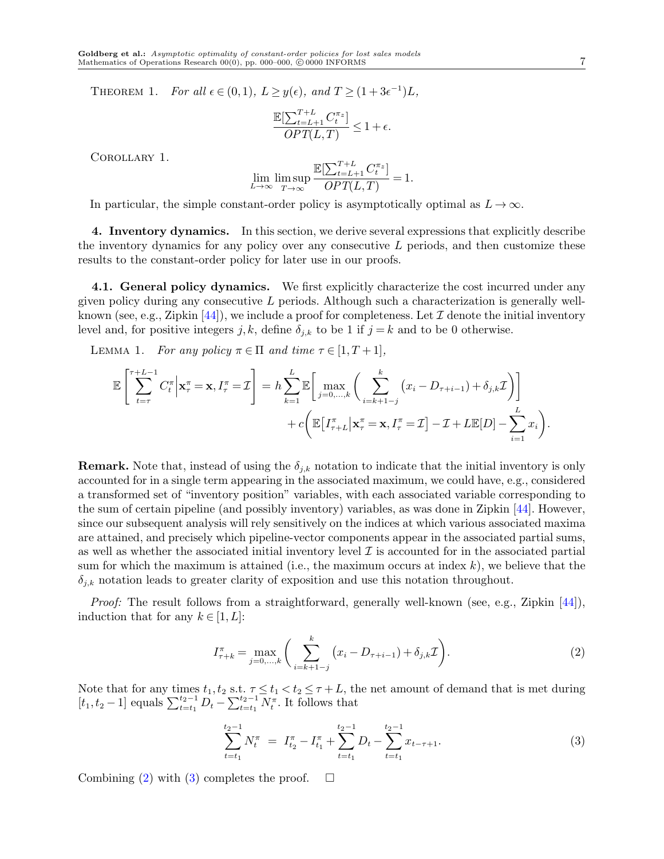THEOREM 1. *For all*  $\epsilon \in (0,1)$ ,  $L \geq y(\epsilon)$ , and  $T \geq (1+3\epsilon^{-1})L$ ,

$$
\frac{\mathbb{E}[\sum_{t=L+1}^{T+L} C_t^{\pi_z}]}{OPT(L,T)} \leq 1 + \epsilon.
$$

<span id="page-6-0"></span>Corollary 1.

<span id="page-6-2"></span>
$$
\lim_{L \to \infty} \limsup_{T \to \infty} \frac{\mathbb{E}[\sum_{t=L+1}^{T+L} C_t^{\pi_z}]}{OPT(L, T)} = 1.
$$

In particular, the simple constant-order policy is asymptotically optimal as  $L \to \infty$ .

<span id="page-6-1"></span>**4. Inventory dynamics.** In this section, we derive several expressions that explicitly describe the inventory dynamics for any policy over any consecutive *L* periods, and then customize these results to the constant-order policy for later use in our proofs.

**4.1. General policy dynamics.** We first explicitly characterize the cost incurred under any given policy during any consecutive *L* periods. Although such a characterization is generally wellknown (see, e.g., Zipkin  $[44]$  $[44]$ ), we include a proof for completeness. Let  $\mathcal I$  denote the initial inventory level and, for positive integers  $j, k$ , define  $\delta_{j,k}$  to be 1 if  $j = k$  and to be 0 otherwise.

LEMMA 1. *For any policy*  $\pi \in \Pi$  *and time*  $\tau \in [1, T + 1]$ *,* 

$$
\mathbb{E}\left[\sum_{t=\tau}^{\tau+L-1} C_t^{\pi}\Big|\mathbf{x}_{\tau}^{\pi}=\mathbf{x}, I_{\tau}^{\pi}=\mathcal{I}\right] = h \sum_{k=1}^{L} \mathbb{E}\left[\max_{j=0,\ldots,k}\left(\sum_{i=k+1-j}^{k} (x_i - D_{\tau+i-1}) + \delta_{j,k}\mathcal{I}\right)\right] + c \bigg(\mathbb{E}\left[I_{\tau+L}^{\pi}\Big|\mathbf{x}_{\tau}^{\pi}=\mathbf{x}, I_{\tau}^{\pi}=\mathcal{I}\right] - \mathcal{I} + L \mathbb{E}[D] - \sum_{i=1}^{L} x_i\bigg).
$$

**Remark.** Note that, instead of using the  $\delta_{j,k}$  notation to indicate that the initial inventory is only accounted for in a single term appearing in the associated maximum, we could have, e.g., considered a transformed set of "inventory position" variables, with each associated variable corresponding to the sum of certain pipeline (and possibly inventory) variables, as was done in Zipkin [[44](#page-19-3)]. However, since our subsequent analysis will rely sensitively on the indices at which various associated maxima are attained, and precisely which pipeline-vector components appear in the associated partial sums, as well as whether the associated initial inventory level *I* is accounted for in the associated partial sum for which the maximum is attained (i.e., the maximum occurs at index *k*), we believe that the  $\delta_{j,k}$  notation leads to greater clarity of exposition and use this notation throughout.

*Proof:* The result follows from a straightforward, generally well-known (see, e.g., Zipkin [[44\]](#page-19-3)), induction that for any  $k \in [1, L]$ :

<span id="page-6-3"></span>
$$
I_{\tau+k}^{\pi} = \max_{j=0,\dots,k} \left( \sum_{i=k+1-j}^{k} \left( x_i - D_{\tau+i-1} \right) + \delta_{j,k} \mathcal{I} \right). \tag{2}
$$

Note that for any times  $t_1, t_2$  s.t.  $\tau \le t_1 < t_2 \le \tau + L$ , the net amount of demand that is met during  $[t_1, t_2 - 1]$  equals  $\sum_{t=t_1}^{t_2-1} D_t - \sum_{t=t_1}^{t_2-1} N_t^{\pi}$ . It follows that

<span id="page-6-4"></span>
$$
\sum_{t=t_1}^{t_2-1} N_t^{\pi} = I_{t_2}^{\pi} - I_{t_1}^{\pi} + \sum_{t=t_1}^{t_2-1} D_t - \sum_{t=t_1}^{t_2-1} x_{t-\tau+1}.
$$
\n(3)

Combining ([2](#page-6-3)) with ([3](#page-6-4)) completes the proof.  $\square$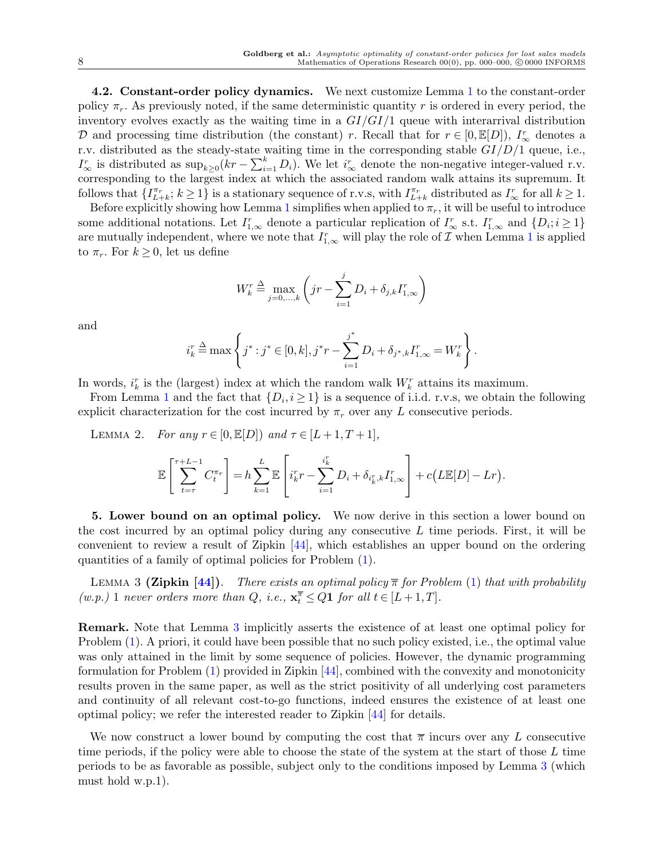**4.2. Constant-order policy dynamics.** We next customize Lemma [1](#page-6-2) to the constant-order policy  $\pi_r$ . As previously noted, if the same deterministic quantity r is ordered in every period, the inventory evolves exactly as the waiting time in a *GI/GI/*1 queue with interarrival distribution *D* and processing time distribution (the constant) *r*. Recall that for  $r \in [0, \mathbb{E}[D])$ ,  $I^r_{\infty}$  denotes a r.v. distributed as the steady-state waiting time in the corresponding stable *GI/D/*1 queue, i.e.,  $I^r_{\infty}$  is distributed as  $\sup_{k\geq 0} (kr - \sum_{i=1}^k D_i)$ . We let  $i^r_{\infty}$  denote the non-negative integer-valued r.v. corresponding to the largest index at which the associated random walk attains its supremum. It follows that  $\{I_{L+k}^{\pi_r}$ ;  $k \ge 1\}$  is a stationary sequence of r.v.s, with  $I_{L+k}^{\pi_r}$  distributed as  $I_{\infty}^r$  for all  $k \ge 1$ .

Before explicitly showing how Lemma [1](#page-6-2) simplifies when applied to  $\pi_r$ , it will be useful to introduce some additional notations. Let  $I_{1,\infty}^r$  denote a particular replication of  $I_{\infty}^r$  s.t.  $I_{1,\infty}^r$  and  $\{D_i; i \geq 1\}$ are mutually independent, where we note that  $I_{1,\infty}^r$  $I_{1,\infty}^r$  $I_{1,\infty}^r$  will play the role of  $\mathcal I$  when Lemma 1 is applied to  $\pi_r$ . For  $k \geq 0$ , let us define

<span id="page-7-0"></span>
$$
W_k^r \stackrel{\Delta}{=} \max_{j=0,...,k} \left(jr - \sum_{i=1}^j D_i + \delta_{j,k} I_{1,\infty}^r\right)
$$

and

$$
i_k^r \triangleq \max \left\{ j^* : j^* \in [0, k], j^*r - \sum_{i=1}^{j^*} D_i + \delta_{j^*,k} I_{1,\infty}^r = W_k^r \right\}.
$$

In words,  $i_k^r$  is the (largest) index at which the random walk  $W_k^r$  attains its maximum.

From Lemma [1](#page-6-2) and the fact that  $\{D_i, i \geq 1\}$  is a sequence of i.i.d. r.v.s, we obtain the following explicit characterization for the cost incurred by  $\pi_r$  over any *L* consecutive periods.

LEMMA 2. *For any*  $r \in [0, \mathbb{E}[D])$  *and*  $\tau \in [L+1, T+1]$ ,

$$
\mathbb{E}\left[\sum_{t=\tau}^{\tau+L-1} C_t^{\pi_r}\right] = h \sum_{k=1}^L \mathbb{E}\left[i_k^r r - \sum_{i=1}^{i_k^r} D_i + \delta_{i_k^r,k} I_{1,\infty}^r\right] + c\left(L\mathbb{E}[D] - Lr\right).
$$

<span id="page-7-1"></span>**5. Lower bound on an optimal policy.** We now derive in this section a lower bound on the cost incurred by an optimal policy during any consecutive *L* time periods. First, it will be convenient to review a result of Zipkin [[44\]](#page-19-3), which establishes an upper bound on the ordering quantities of a family of optimal policies for Problem ([1\)](#page-4-1).

<span id="page-7-2"></span>**LEMMA 3 (Zipkin [\[44\]](#page-19-3)).** There exists an optimal policy  $\bar{\pi}$  for Problem [\(1\)](#page-4-1) that with probability  $(w.p.)$  1 *never orders more than Q, i.e.*,  $\mathbf{x}_t^{\overline{\pi}} \le Q \mathbf{1}$  *for all*  $t \in [L+1, T]$ *.* 

**Remark.** Note that Lemma [3](#page-7-2) implicitly asserts the existence of at least one optimal policy for Problem [\(1\)](#page-4-1). A priori, it could have been possible that no such policy existed, i.e., the optimal value was only attained in the limit by some sequence of policies. However, the dynamic programming formulation for Problem ([1](#page-4-1)) provided in Zipkin [[44\]](#page-19-3), combined with the convexity and monotonicity results proven in the same paper, as well as the strict positivity of all underlying cost parameters and continuity of all relevant cost-to-go functions, indeed ensures the existence of at least one optimal policy; we refer the interested reader to Zipkin [[44](#page-19-3)] for details.

We now construct a lower bound by computing the cost that  $\bar{\pi}$  incurs over any *L* consecutive time periods, if the policy were able to choose the state of the system at the start of those *L* time periods to be as favorable as possible, subject only to the conditions imposed by Lemma [3](#page-7-2) (which must hold w.p.1).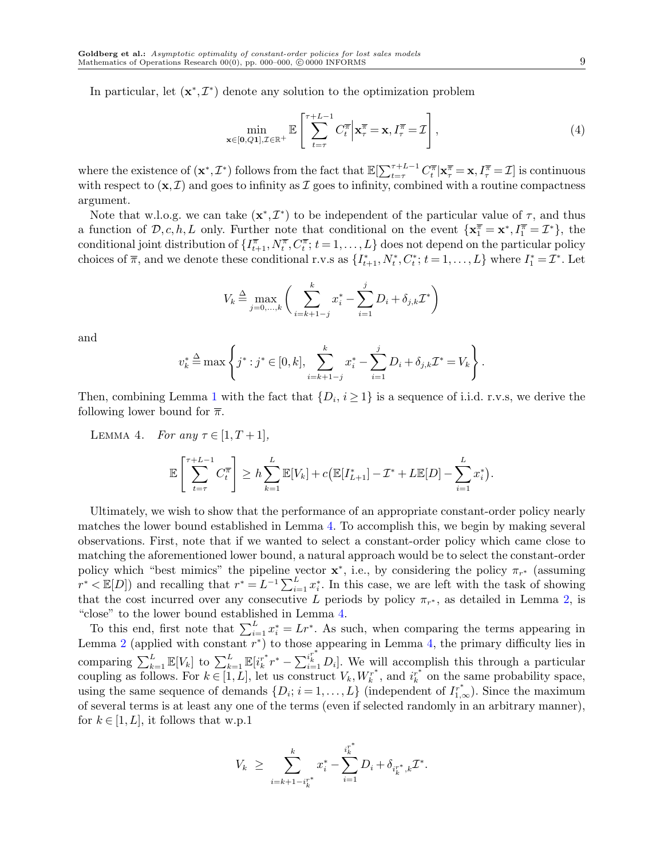In particular, let  $(\mathbf{x}^*, \mathcal{I}^*)$  denote any solution to the optimization problem

<span id="page-8-0"></span>
$$
\min_{\mathbf{x}\in[\mathbf{0},Q\mathbf{1}],\mathcal{I}\in\mathbb{R}^+}\mathbb{E}\left[\sum_{t=\tau}^{\tau+L-1}C_t^{\overline{\pi}}\Big|\mathbf{x}_{\tau}^{\overline{\pi}}=\mathbf{x},I_{\tau}^{\overline{\pi}}=\mathcal{I}\right],\tag{4}
$$

where the existence of  $(\mathbf{x}^*, \mathcal{I}^*)$  follows from the fact that  $\mathbb{E}[\sum_{t=\tau}^{\tau+L-1} C_t^{\overline{\pi}} | \mathbf{x}^{\overline{\pi}}_{\tau} = \mathbf{x}, I_{\tau}^{\overline{\pi}} = \mathcal{I}]$  is continuous with respect to  $(\mathbf{x}, \mathcal{I})$  and goes to infinity as  $\mathcal{I}$  goes to infinity, combined with a routine compactness argument.

Note that w.l.o.g. we can take  $(\mathbf{x}^*, \mathcal{I}^*)$  to be independent of the particular value of  $\tau$ , and thus a function of  $\mathcal{D}, c, h, L$  only. Further note that conditional on the event  $\{ \mathbf{x}_1^{\overline{\pi}} = \mathbf{x}^*, I_1^{\overline{\pi}} = \mathcal{I}^* \}$ , the conditional joint distribution of  $\{I^{\pi}_{t+1}, N^{\pi}_{t}, C^{\pi}_{t}; t = 1, \ldots, L\}$  does not depend on the particular policy choices of  $\overline{\pi}$ , and we denote these conditional r.v.s as  $\{I_{t+1}^*, N_t^*, C_t^*; t = 1, ..., L\}$  where  $I_1^* = \mathcal{I}^*$ . Let

$$
V_k \stackrel{\Delta}{=} \max_{j=0,...,k} \bigg( \sum_{i=k+1-j}^k x_i^* - \sum_{i=1}^j D_i + \delta_{j,k} \mathcal{I}^* \bigg)
$$

and

$$
v_k^* \stackrel{\Delta}{=} \max \left\{ j^* : j^* \in [0, k], \sum_{i=k+1-j}^k x_i^* - \sum_{i=1}^j D_i + \delta_{j,k} \mathcal{I}^* = V_k \right\}.
$$

Then, combining Lemma [1](#page-6-2) with the fact that  $\{D_i, i \geq 1\}$  is a sequence of i.i.d. r.v.s, we derive the following lower bound for  $\bar{\pi}$ .

<span id="page-8-1"></span>LEMMA 4. *For any*  $\tau \in [1, T+1]$ *,* E  $\int$ <sup> $\tau$ </sup>  $\int$ <sup> $\tau$ </sup> $\int$ <sup> $\tau$ </sup> $\int$ <sup> $\tau$ </sup> $\int$ <sup> $\tau$ </sup> $\int$  $\tau$  $\int$  $\tau$  $\int$  $\tau$  $\int$  $\tau$  $\int$  $\tau$  $\int$  $\tau$  $\int$  $\tau$  $\int$  $\tau$  $\int$  $\tau$  $\int$  $\tau$  $\int$  $\tau$  $\int$  $\tau$  $\int$  $\tau$  $\int$  $\tau$  $\int$  $\tau$  $\int$  $\tau$  $\int$  $\tau$  $\int$  $\tau$  $\int$  $\tau$  $\int$  $\tau$  $\int$  $\tau$  $\$ *t*=*τ*  $C^{\overline{\pi}}_t$ ]  $\geq h\sum_{i=1}^{L}$ *k*=1  $\mathbb{E}[V_k] + c\big(\mathbb{E}[I^*_{L+1}] - \mathcal{I}^* + L\mathbb{E}[D] - \sum^L$ *i*=1 *x ∗ i* ) *.*

Ultimately, we wish to show that the performance of an appropriate constant-order policy nearly matches the lower bound established in Lemma [4](#page-8-1). To accomplish this, we begin by making several observations. First, note that if we wanted to select a constant-order policy which came close to matching the aforementioned lower bound, a natural approach would be to select the constant-order policy which "best mimics" the pipeline vector  $\mathbf{x}^*$ , i.e., by considering the policy  $\pi_{r^*}$  (assuming  $r^*$  < E[*D*]) and recalling that  $r^* = L^{-1} \sum_{i=1}^L x_i^*$ . In this case, we are left with the task of showing that the cost incurred over any consecutive *L* periods by policy  $\pi_{r^*}$ , as detailed in Lemma [2](#page-7-0), is "close" to the lower bound established in Lemma [4](#page-8-1).

To this end, first note that  $\sum_{i=1}^{L} x_i^* = Lr^*$ . As such, when comparing the terms appearing in Lemma [2](#page-7-0) (applied with constant  $r^*$ ) to those appearing in Lemma [4](#page-8-1), the primary difficulty lies in comparing  $\sum_{k=1}^{L} \mathbb{E}[V_k]$  to  $\sum_{k=1}^{L} \mathbb{E}[i_k^{r^*}r^* - \sum_{i=1}^{i_k^{r^*}} D_i]$ . We will accomplish this through a particular coupling as follows. For  $k \in [1, L]$ , let us construct  $V_k, W_k^{r^*}$ , and  $i_k^{r^*}$  on the same probability space, using the same sequence of demands  $\{D_i; i = 1, ..., L\}$  (independent of  $I^{r^*}_{1,\infty}$ ). Since the maximum of several terms is at least any one of the terms (even if selected randomly in an arbitrary manner), for  $k \in [1, L]$ , it follows that w.p.1

$$
V_k \ \geq \ \sum_{i=k+1-i_k^{r^*}}^k x_i^* - \sum_{i=1}^{i_k^{r^*}} D_i + \delta_{i_k^{r^*},k} \mathcal{I}^*.
$$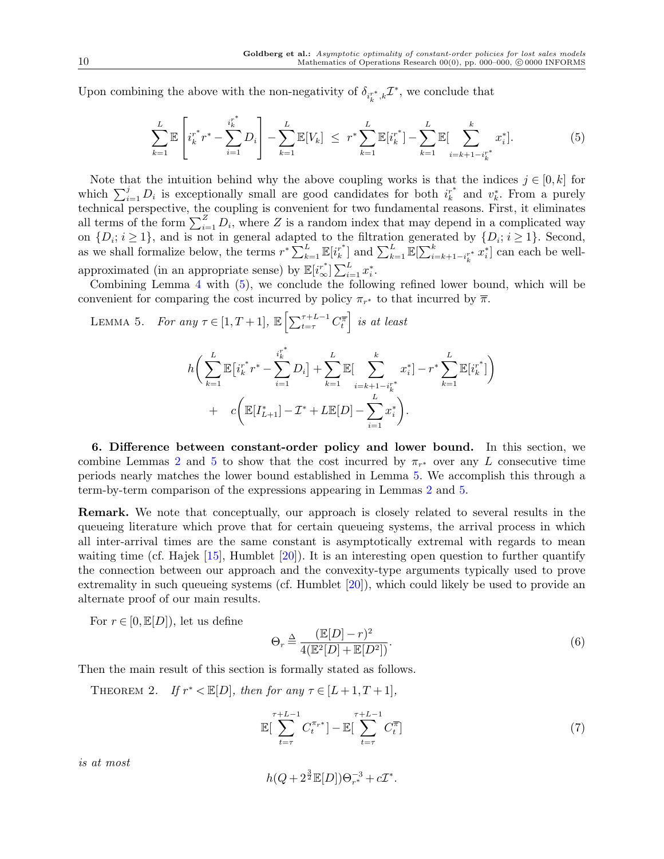Upon combining the above with the non-negativity of  $\delta_{i_k^{r*},k} \mathcal{I}^*$ , we conclude that

<span id="page-9-3"></span>
$$
\sum_{k=1}^{L} \mathbb{E}\left[i_{k}^{r^{*}} r^{*} - \sum_{i=1}^{i_{k}^{r^{*}}} D_{i}\right] - \sum_{k=1}^{L} \mathbb{E}[V_{k}] \leq r^{*} \sum_{k=1}^{L} \mathbb{E}[i_{k}^{r^{*}}] - \sum_{k=1}^{L} \mathbb{E}[\sum_{i=k+1-i_{k}^{r^{*}}}^{k} x_{i}^{*}].
$$
\n(5)

Note that the intuition behind why the above coupling works is that the indices  $j \in [0, k]$  for which  $\sum_{i=1}^{j} D_i$  is exceptionally small are good candidates for both  $i_k^*$  and  $v_k^*$ . From a purely technical perspective, the coupling is convenient for two fundamental reasons. First, it eliminates all terms of the form  $\sum_{i=1}^{Z} D_i$ , where *Z* is a random index that may depend in a complicated way on  $\{D_i; i \geq 1\}$ , and is not in general adapted to the filtration generated by  $\{D_i; i \geq 1\}$ . Second, as we shall formalize below, the terms  $r^* \sum_{k=1}^L \mathbb{E}[i_k^{r^*}]$  and  $\sum_{k=1}^L \mathbb{E}[\sum_{i=k+1-i_k^{r^*}}^k x_i^*]$  can each be wellapproximated (in an appropriate sense) by  $\mathbb{E}[i^*_{\infty}] \sum_{i=1}^{L} x_i^*$ .

Combining Lemma [4](#page-8-1) with ([5](#page-9-3)), we conclude the following refined lower bound, which will be convenient for comparing the cost incurred by policy  $\pi_{r^*}$  to that incurred by  $\overline{\pi}$ .

<span id="page-9-0"></span>LEMMA 5. *For any*  $\tau \in [1, T + 1]$ ,  $\mathbb{E} \left[ \sum_{t=\tau}^{\tau+L-1} C_t^{\overline{\tau}} \right]$  *is at least* 

$$
h\bigg(\sum_{k=1}^{L} \mathbb{E}\big[i_k^{r^*} r^* - \sum_{i=1}^{i_k^{r^*}} D_i\big] + \sum_{k=1}^{L} \mathbb{E}\big[\sum_{i=k+1-i_k^{r^*}}^k x_i^*\big] - r^* \sum_{k=1}^{L} \mathbb{E}\big[i_k^{r^*}\big]\bigg) + c\bigg(\mathbb{E}\big[I_{L+1}^*\big] - \mathcal{I}^* + L \mathbb{E}\big[D\big] - \sum_{i=1}^{L} x_i^*\bigg).
$$

<span id="page-9-1"></span>**6. Difference between constant-order policy and lower bound.** In this section, we combine Lemmas [2](#page-7-0) and [5](#page-9-0) to show that the cost incurred by  $\pi_{r^*}$  over any *L* consecutive time periods nearly matches the lower bound established in Lemma [5.](#page-9-0) We accomplish this through a term-by-term comparison of the expressions appearing in Lemmas [2](#page-7-0) and [5](#page-9-0).

**Remark.** We note that conceptually, our approach is closely related to several results in the queueing literature which prove that for certain queueing systems, the arrival process in which all inter-arrival times are the same constant is asymptotically extremal with regards to mean waiting time (cf. Hajek  $[15]$  $[15]$ , Humblet  $[20]$  $[20]$ ). It is an interesting open question to further quantify the connection between our approach and the convexity-type arguments typically used to prove extremality in such queueing systems (cf. Humblet [[20\]](#page-18-15)), which could likely be used to provide an alternate proof of our main results.

For  $r \in [0, \mathbb{E}[D])$ , let us define

$$
\Theta_r \stackrel{\Delta}{=} \frac{(\mathbb{E}[D] - r)^2}{4(\mathbb{E}^2[D] + \mathbb{E}[D^2])}.
$$
\n(6)

<span id="page-9-2"></span>Then the main result of this section is formally stated as follows.

THEOREM 2. *If*  $r^* < \mathbb{E}[D]$ *, then for any*  $\tau \in [L+1, T+1]$ *,* 

<span id="page-9-4"></span>
$$
\mathbb{E}\left[\sum_{t=\tau}^{\tau+L-1} C_t^{\pi_{r^*}}\right] - \mathbb{E}\left[\sum_{t=\tau}^{\tau+L-1} C_t^{\overline{\pi}}\right]
$$
\n
$$
(7)
$$

*is at most*

$$
h(Q+2^{\frac{3}{2}}\mathbb{E}[D])\Theta_{r^*}^{-3}+c\mathcal{I}^*.
$$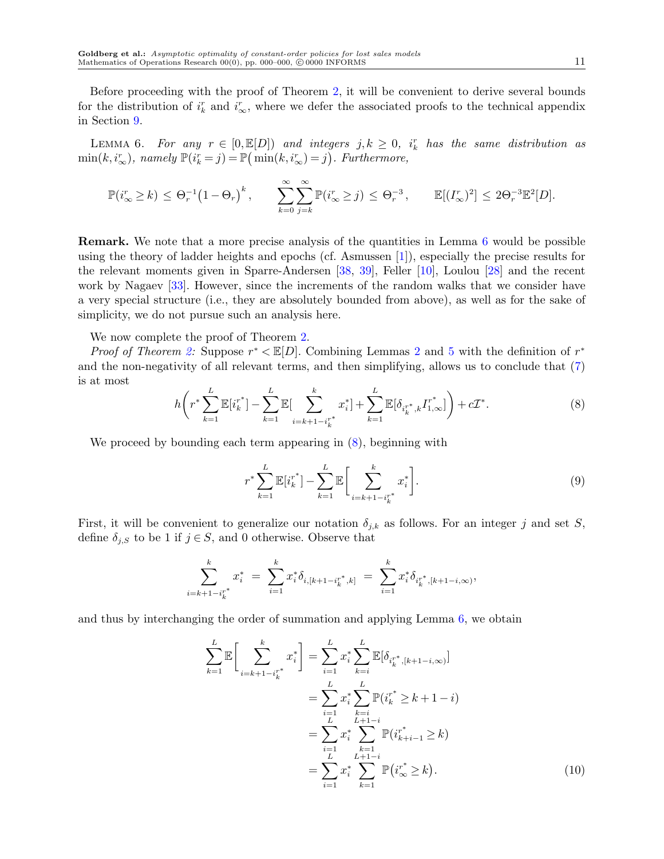Before proceeding with the proof of Theorem [2](#page-9-2), it will be convenient to derive several bounds for the distribution of  $i_k^r$  and  $i_{\infty}^r$ , where we defer the associated proofs to the technical appendix in Section [9.](#page-16-0)

<span id="page-10-0"></span>LEMMA 6. For any  $r \in [0, \mathbb{E}[D])$  and integers  $j, k \geq 0$ ,  $i_k^r$  has the same distribution as  $\min(k, i^r_{\infty})$ , namely  $\mathbb{P}(i^r_k = j) = \mathbb{P}(\min(k, i^r_{\infty}) = j)$ . Furthermore,

$$
\mathbb{P}(i_{\infty}^r \geq k) \leq \Theta_r^{-1} \left(1 - \Theta_r\right)^k, \qquad \sum_{k=0}^{\infty} \sum_{j=k}^{\infty} \mathbb{P}(i_{\infty}^r \geq j) \leq \Theta_r^{-3}, \qquad \mathbb{E}[(I_{\infty}^r)^2] \leq 2\Theta_r^{-3} \mathbb{E}^2[D].
$$

**Remark.** We note that a more precise analysis of the quantities in Lemma [6](#page-10-0) would be possible using the theory of ladder heights and epochs (cf. Asmussen [[1](#page-18-12)]), especially the precise results for the relevant moments given in Sparre-Andersen [[38,](#page-19-18) [39\]](#page-19-19), Feller [[10](#page-18-16)], Loulou [\[28](#page-19-20)] and the recent work by Nagaev [[33\]](#page-19-21). However, since the increments of the random walks that we consider have a very special structure (i.e., they are absolutely bounded from above), as well as for the sake of simplicity, we do not pursue such an analysis here.

We now complete the proof of Theorem [2.](#page-9-2)

*Proof of Theorem [2](#page-7-0):* Suppose  $r^* < \mathbb{E}[D]$ . Combining Lemmas 2 and [5](#page-9-0) with the definition of  $r^*$ and the non-negativity of all relevant terms, and then simplifying, allows us to conclude that ([7\)](#page-9-4) is at most

<span id="page-10-1"></span>
$$
h\bigg(r^* \sum_{k=1}^L \mathbb{E}[i_k^{r^*}] - \sum_{k=1}^L \mathbb{E}[\sum_{i=k+1-i_k^{r^*}}^k x_i^*] + \sum_{k=1}^L \mathbb{E}[\delta_{i_k^{r^*},k} I_{1,\infty}^{r^*}]\bigg) + c\mathcal{I}^*.
$$
 (8)

We proceed by bounding each term appearing in  $(8)$  $(8)$  $(8)$ , beginning with

<span id="page-10-2"></span>
$$
r^* \sum_{k=1}^{L} \mathbb{E}[i_k^{r^*}] - \sum_{k=1}^{L} \mathbb{E}\bigg[\sum_{i=k+1-i_k^{r^*}}^{k} x_i^*\bigg].
$$
 (9)

First, it will be convenient to generalize our notation  $\delta_{j,k}$  as follows. For an integer *j* and set *S*, define  $\delta_{j,S}$  to be 1 if  $j \in S$ , and 0 otherwise. Observe that

$$
\sum_{i=k+1-i_k^{r^*}}^k x_i^* = \sum_{i=1}^k x_i^* \delta_{i,[k+1-i_k^{r^*},k]} = \sum_{i=1}^k x_i^* \delta_{i_k^{r^*},[k+1-i,\infty)},
$$

and thus by interchanging the order of summation and applying Lemma [6](#page-10-0), we obtain

$$
\sum_{k=1}^{L} \mathbb{E} \bigg[ \sum_{i=k+1-i_k^{*}}^{k} x_i^* \bigg] = \sum_{i=1}^{L} x_i^* \sum_{k=i}^{L} \mathbb{E} [\delta_{i_k^{*},[k+1-i,\infty)}]
$$
  

$$
= \sum_{i=1}^{L} x_i^* \sum_{k=i}^{L} \mathbb{P} (i_k^{*} \ge k+1-i)
$$
  

$$
= \sum_{i=1}^{L} x_i^* \sum_{k=1}^{L+1-i} \mathbb{P} (i_{k+i-1}^{*} \ge k)
$$
  

$$
= \sum_{i=1}^{L} x_i^* \sum_{k=1}^{L+1-i} \mathbb{P} (i_{\infty}^{*} \ge k).
$$
 (10)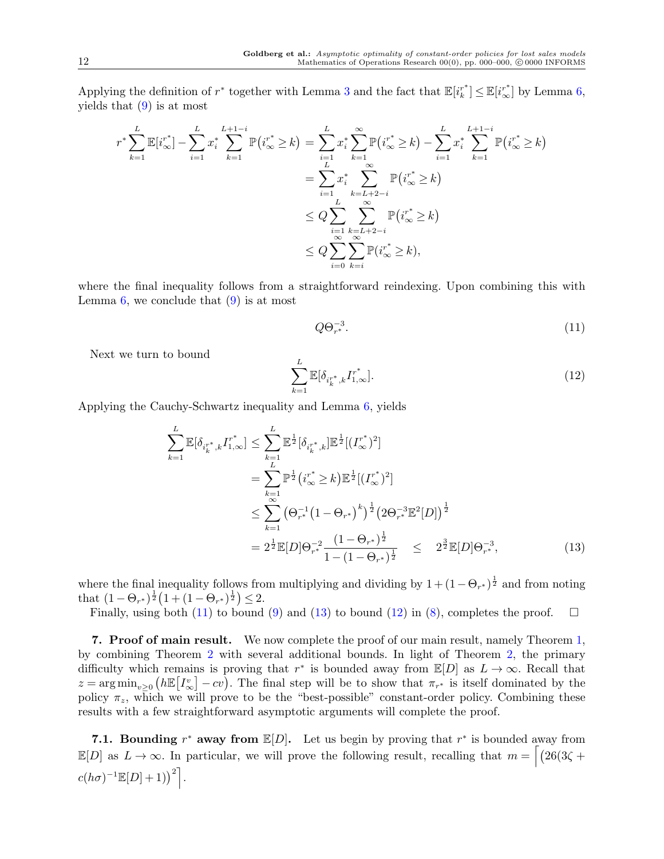Applying the definition of  $r^*$  together with Lemma [3](#page-7-2) and the fact that  $\mathbb{E}[i_k^{r^*}] \leq \mathbb{E}[i_{\infty}^{r^*}]$  by Lemma [6,](#page-10-0) yields that  $(9)$  $(9)$  $(9)$  is at most

<span id="page-11-2"></span>
$$
r^* \sum_{k=1}^{L} \mathbb{E}[i_{\infty}^{r^*}] - \sum_{i=1}^{L} x_i^* \sum_{k=1}^{L+1-i} \mathbb{P}(i_{\infty}^{r^*} \ge k) = \sum_{i=1}^{L} x_i^* \sum_{k=1}^{\infty} \mathbb{P}(i_{\infty}^{r^*} \ge k) - \sum_{i=1}^{L} x_i^* \sum_{k=1}^{L+1-i} \mathbb{P}(i_{\infty}^{r^*} \ge k)
$$
  

$$
= \sum_{i=1}^{L} x_i^* \sum_{k=L+2-i}^{\infty} \mathbb{P}(i_{\infty}^{r^*} \ge k)
$$
  

$$
\le Q \sum_{i=1}^{L} \sum_{k=L+2-i}^{\infty} \mathbb{P}(i_{\infty}^{r^*} \ge k)
$$
  

$$
\le Q \sum_{i=0}^{\infty} \sum_{k=i}^{\infty} \mathbb{P}(i_{\infty}^{r^*} \ge k),
$$

where the final inequality follows from a straightforward reindexing. Upon combining this with Lemma  $6$ , we conclude that  $(9)$  is at most

$$
Q\Theta_{r^*}^{-3}.\tag{11}
$$

Next we turn to bound

<span id="page-11-4"></span>
$$
\sum_{k=1}^{L} \mathbb{E}[\delta_{i_k^{r^*},k} I_{1,\infty}^{r^*}].
$$
\n(12)

Applying the Cauchy-Schwartz inequality and Lemma [6,](#page-10-0) yields

<span id="page-11-3"></span>
$$
\sum_{k=1}^{L} \mathbb{E}[\delta_{i_k^{r^*},k} I_{1,\infty}^{r^*}] \leq \sum_{k=1}^{L} \mathbb{E}^{\frac{1}{2}}[\delta_{i_k^{r^*},k}] \mathbb{E}^{\frac{1}{2}}[(I_{\infty}^{r^*})^2]
$$
  
\n
$$
= \sum_{k=1}^{L} \mathbb{P}^{\frac{1}{2}}(i_{\infty}^{r^*} \geq k) \mathbb{E}^{\frac{1}{2}}[(I_{\infty}^{r^*})^2]
$$
  
\n
$$
\leq \sum_{k=1}^{\infty} (\Theta_{r^*}^{-1} (1 - \Theta_{r^*})^k)^{\frac{1}{2}} (2\Theta_{r^*}^{-3} \mathbb{E}^2[D])^{\frac{1}{2}}
$$
  
\n
$$
= 2^{\frac{1}{2}} \mathbb{E}[D]\Theta_{r^*}^{-2} \frac{(1 - \Theta_{r^*})^{\frac{1}{2}}}{1 - (1 - \Theta_{r^*})^{\frac{1}{2}}} \leq 2^{\frac{3}{2}} \mathbb{E}[D]\Theta_{r^*}^{-3}, \qquad (13)
$$

where the final inequality follows from multiplying and dividing by  $1 + (1 - \Theta_{r^*})^{\frac{1}{2}}$  and from noting that  $(1 - \Theta_{r^*})^{\frac{1}{2}} (1 + (1 - \Theta_{r^*})^{\frac{1}{2}}) \leq 2$ .

Finally, using both [\(11](#page-11-2)) to bound ([9\)](#page-10-2) and [\(13](#page-11-3)) to bound ([12\)](#page-11-4) in ([8](#page-10-1)), completes the proof.  $\square$ 

<span id="page-11-0"></span>**7. Proof of main result.** We now complete the proof of our main result, namely Theorem [1,](#page-5-0) by combining Theorem [2](#page-9-2) with several additional bounds. In light of Theorem [2,](#page-9-2) the primary difficulty which remains is proving that  $r^*$  is bounded away from  $\mathbb{E}[D]$  as  $L \to \infty$ . Recall that  $z = \arg \min_{v \geq 0} \left( h \mathbb{E} \left[ I^v_{\infty} \right] \right)$  $\left[\infty\right]$  *− cv*). The final step will be to show that  $\pi_{r^*}$  is itself dominated by the policy  $\pi_z$ , which we will prove to be the "best-possible" constant-order policy. Combining these results with a few straightforward asymptotic arguments will complete the proof.

<span id="page-11-1"></span>**7.1. Bounding**  $r^*$  away from  $\mathbb{E}[D]$ . Let us begin by proving that  $r^*$  is bounded away from  $\mathbb{E}[D]$  as  $L \to \infty$ . In particular, we will prove the following result, recalling that  $m = \left[26(3\zeta +$  $c(h\sigma)^{-1} \mathbb{E}[D] + 1)$ <sup>2</sup><sup>[</sup>].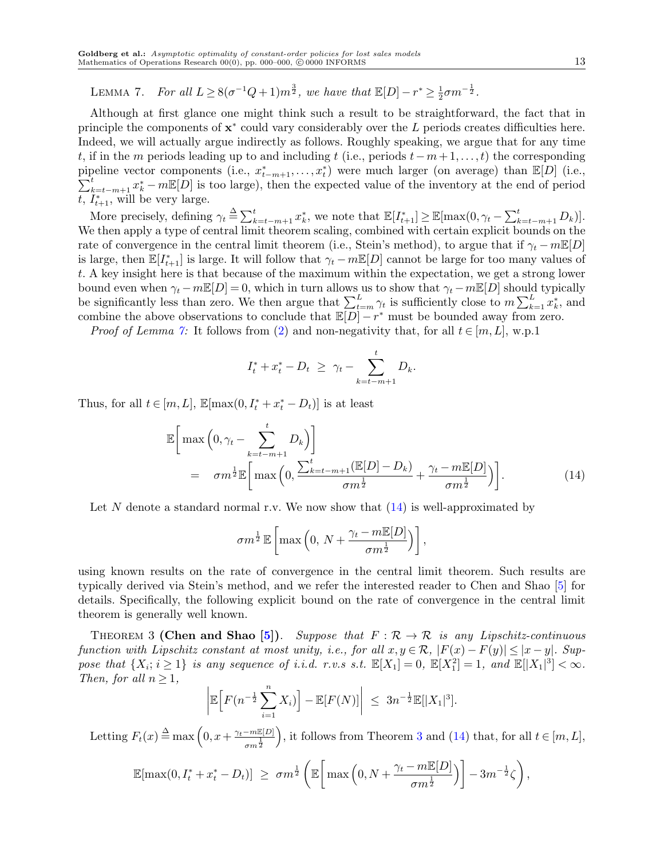LEMMA 7. *For all*  $L \geq 8(\sigma^{-1}Q + 1)m^{\frac{3}{2}}$ , we have that  $\mathbb{E}[D] - r^* \geq \frac{1}{2}$  $rac{1}{2}\sigma m^{-\frac{1}{2}}$ .

Although at first glance one might think such a result to be straightforward, the fact that in principle the components of  $x^*$  could vary considerably over the *L* periods creates difficulties here. Indeed, we will actually argue indirectly as follows. Roughly speaking, we argue that for any time *t*, if in the *m* periods leading up to and including *t* (i.e., periods *t−m*+ 1*,..., t*) the corresponding pipeline vector components (i.e.,  $x_{t-m+1}^*$ ,...,  $x_t^*$ ) were much larger (on average) than  $\mathbb{E}[D]$  (i.e.,  $\sum_{k=t-m+1}^{t} x_{k}^{*}$  –  $m\mathbb{E}[D]$  is too large), then the expected value of the inventory at the end of period  $t, I_{t+1}^*$ , will be very large.

More precisely, defining  $\gamma_t \triangleq \sum_{k=t-m+1}^t x_k^*$ , we note that  $\mathbb{E}[I_{t+1}^*] \geq \mathbb{E}[\max(0, \gamma_t - \sum_{k=t-m+1}^t D_k)].$ We then apply a type of central limit theorem scaling, combined with certain explicit bounds on the rate of convergence in the central limit theorem (i.e., Stein's method), to argue that if  $\gamma_t - mE[D]$ is large, then  $\mathbb{E}[I_{t+1}^*]$  is large. It will follow that  $\gamma_t - m \mathbb{E}[D]$  cannot be large for too many values of *t*. A key insight here is that because of the maximum within the expectation, we get a strong lower bound even when  $\gamma_t - mE[D] = 0$ , which in turn allows us to show that  $\gamma_t - mE[D]$  should typically be significantly less than zero. We then argue that  $\sum_{t=m}^{L} \gamma_t$  is sufficiently close to  $m \sum_{k=1}^{L} x_k^*$ , and combine the above observations to conclude that  $\mathbb{E}[D] - r^*$  must be bounded away from zero.

*Proof of Lemma [7:](#page-11-1)* It follows from ([2](#page-6-3)) and non-negativity that, for all  $t \in [m, L]$ , w.p.1

$$
I_t^* + x_t^* - D_t \ge \gamma_t - \sum_{k=t-m+1}^t D_k.
$$

Thus, for all  $t \in [m, L]$ ,  $\mathbb{E}[\max(0, I_t^* + x_t^* - D_t)]$  is at least

 $\mathsf{I}$  $\overline{\phantom{a}}$  $\bigg\}$ 

<span id="page-12-0"></span>
$$
\mathbb{E}\bigg[\max\left(0,\gamma_t-\sum_{k=t-m+1}^t D_k\right)\bigg]
$$
\n
$$
= \sigma m^{\frac{1}{2}} \mathbb{E}\bigg[\max\left(0,\frac{\sum_{k=t-m+1}^t (\mathbb{E}[D]-D_k)}{\sigma m^{\frac{1}{2}}}+\frac{\gamma_t-m\mathbb{E}[D]}{\sigma m^{\frac{1}{2}}}\right)\bigg].
$$
\n(14)

Let N denote a standard normal r.v. We now show that  $(14)$  $(14)$  is well-approximated by

$$
\sigma m^{\frac{1}{2}}\mathbb{E}\left[\max\left(0, N + \frac{\gamma_t - m \mathbb{E}[D]}{\sigma m^{\frac{1}{2}}}\right)\right],
$$

using known results on the rate of convergence in the central limit theorem. Such results are typically derived via Stein's method, and we refer the interested reader to Chen and Shao [[5\]](#page-18-17) for details. Specifically, the following explicit bound on the rate of convergence in the central limit theorem is generally well known.

<span id="page-12-1"></span>THEOREM 3 **(Chen and Shao [\[5\]](#page-18-17)**). Suppose that  $F : \mathcal{R} \to \mathcal{R}$  is any Lipschitz-continuous *function with Lipschitz constant at most unity, i.e., for all*  $x, y \in \mathcal{R}$ ,  $|F(x) - F(y)| \leq |x - y|$ *. Sup*pose that  $\{X_i; i \geq 1\}$  is any sequence of i.i.d. r.v.s s.t.  $\mathbb{E}[X_1] = 0$ ,  $\mathbb{E}[X_1^2] = 1$ , and  $\mathbb{E}[|X_1|^3] < \infty$ . *Then, for all*  $n \geq 1$ *,*  $\begin{array}{c} \end{array}$ 

$$
\mathbb{E}\Big[F(n^{-\frac{1}{2}}\sum_{i=1}^n X_i)\Big] - \mathbb{E}[F(N)]\Big| \leq 3n^{-\frac{1}{2}}\mathbb{E}[|X_1|^3].
$$

Letting  $F_t(x) \triangleq \max\left(0, x + \frac{\gamma_t - m\mathbb{E}[D]}{1}\right)$  $\frac{1}{\sigma m}$ <sup>2</sup> ), it follows from Theorem [3](#page-12-1) and [\(14](#page-12-0)) that, for all  $t \in [m, L]$ ,

$$
\mathbb{E}[\max(0, I_t^* + x_t^* - D_t)] \ge \sigma m^{\frac{1}{2}} \left( \mathbb{E}\left[\max\left(0, N + \frac{\gamma_t - m \mathbb{E}[D]}{\sigma m^{\frac{1}{2}}}\right)\right] - 3m^{-\frac{1}{2}} \zeta\right),
$$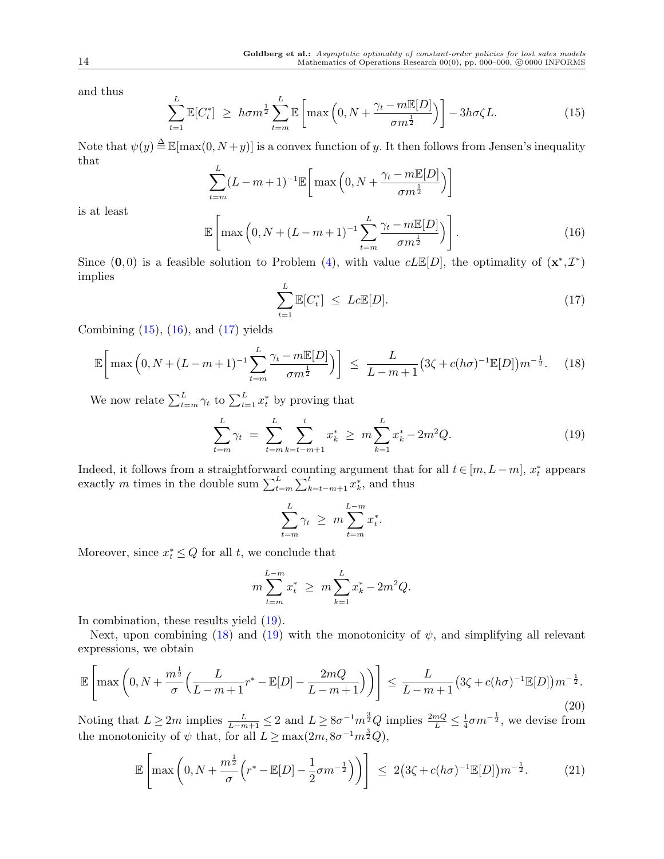and thus

<span id="page-13-0"></span>
$$
\sum_{t=1}^{L} \mathbb{E}[C_t^*] \ge h\sigma m^{\frac{1}{2}} \sum_{t=m}^{L} \mathbb{E}\left[\max\left(0, N + \frac{\gamma_t - m \mathbb{E}[D]}{\sigma m^{\frac{1}{2}}}\right)\right] - 3h\sigma\zeta L.
$$
 (15)

Note that  $\psi(y) \stackrel{\Delta}{=} \mathbb{E}[\max(0, N+y)]$  is a convex function of *y*. It then follows from Jensen's inequality that

$$
\sum_{t=m}^{L} (L-m+1)^{-1} \mathbb{E}\bigg[\max\left(0, N+\frac{\gamma_t-m \mathbb{E}[D]}{\sigma m^{\frac{1}{2}}}\right)\bigg]
$$

is at least

<span id="page-13-1"></span>
$$
\mathbb{E}\left[\max\left(0, N + (L - m + 1)^{-1} \sum_{t=m}^{L} \frac{\gamma_t - m \mathbb{E}[D]}{\sigma m^{\frac{1}{2}}}\right)\right].
$$
\n(16)

Since  $(0,0)$  is a feasible solution to Problem  $(4)$ , with value  $cL\mathbb{E}[D]$ , the optimality of  $(\mathbf{x}^*, \mathcal{I}^*)$ implies

<span id="page-13-2"></span>
$$
\sum_{t=1}^{L} \mathbb{E}[C_t^*] \leq Lc \mathbb{E}[D]. \tag{17}
$$

Combining  $(15)$  $(15)$ ,  $(16)$  $(16)$ , and  $(17)$  $(17)$  yields

<span id="page-13-4"></span>
$$
\mathbb{E}\bigg[\max\left(0, N + (L - m + 1)^{-1} \sum_{t=m}^{L} \frac{\gamma_t - m \mathbb{E}[D]}{\sigma m^{\frac{1}{2}}}\right)\bigg] \le \frac{L}{L - m + 1} \big(3\zeta + c(h\sigma)^{-1} \mathbb{E}[D]\big) m^{-\frac{1}{2}}.\tag{18}
$$

We now relate  $\sum_{t=m}^{L} \gamma_t$  to  $\sum_{t=1}^{L} x_t^*$  by proving that

<span id="page-13-3"></span>
$$
\sum_{t=m}^{L} \gamma_t = \sum_{t=m}^{L} \sum_{k=t-m+1}^{t} x_k^* \ge m \sum_{k=1}^{L} x_k^* - 2m^2 Q. \tag{19}
$$

Indeed, it follows from a straightforward counting argument that for all  $t \in [m, L - m]$ ,  $x_t^*$  appears exactly *m* times in the double sum  $\sum_{t=m}^{L} \sum_{k=t-m+1}^{t} x_k^*$ , and thus

$$
\sum_{t=m}^{L} \gamma_t \geq m \sum_{t=m}^{L-m} x_t^*.
$$

Moreover, since  $x_t^* \leq Q$  for all *t*, we conclude that

$$
m\sum_{t=m}^{L-m}x_t^* \ge m\sum_{k=1}^L x_k^* - 2m^2Q.
$$

In combination, these results yield ([19\)](#page-13-3).

Next, upon combining ([18\)](#page-13-4) and [\(19](#page-13-3)) with the monotonicity of  $\psi$ , and simplifying all relevant expressions, we obtain

$$
\mathbb{E}\left[\max\left(0, N + \frac{m^{\frac{1}{2}}}{\sigma}\left(\frac{L}{L-m+1}r^* - \mathbb{E}[D] - \frac{2mQ}{L-m+1}\right)\right)\right] \le \frac{L}{L-m+1} \left(3\zeta + c(h\sigma)^{-1}\mathbb{E}[D]\right)m^{-\frac{1}{2}}.\tag{20}
$$

Noting that  $L \geq 2m$  implies  $\frac{L}{L-m+1} \leq 2$  and  $L \geq 8\sigma^{-1}m^{\frac{3}{2}}Q$  implies  $\frac{2mQ}{L} \leq \frac{1}{4}$  $\frac{1}{4}\sigma m^{-\frac{1}{2}}$ , we devise from the monotonicity of  $\psi$  that, for all  $L \ge \max(2m, 8\sigma^{-1}m^{\frac{3}{2}}Q)$ ,

<span id="page-13-5"></span>
$$
\mathbb{E}\left[\max\left(0, N + \frac{m^{\frac{1}{2}}}{\sigma}\left(r^* - \mathbb{E}[D] - \frac{1}{2}\sigma m^{-\frac{1}{2}}\right)\right)\right] \le 2\left(3\zeta + c(h\sigma)^{-1}\mathbb{E}[D]\right)m^{-\frac{1}{2}}.\tag{21}
$$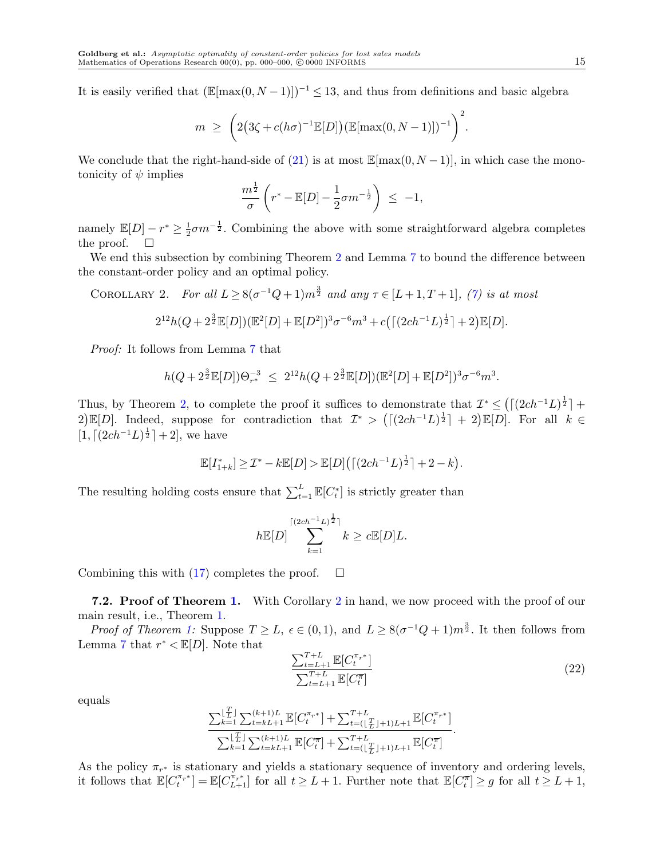It is easily verified that  $(\mathbb{E}[\max(0, N-1)])^{-1}$  ≤ 13, and thus from definitions and basic algebra

$$
m \geq \left(2\big(3\zeta + c(h\sigma)^{-1}\mathbb{E}[D]\big)\big(\mathbb{E}[\max(0, N-1)]\big)^{-1}\right)^2.
$$

We conclude that the right-hand-side of  $(21)$  $(21)$  is at most  $\mathbb{E}[\max(0, N-1)]$ , in which case the monotonicity of *ψ* implies

<span id="page-14-0"></span>
$$
\frac{m^{\frac{1}{2}}}{\sigma}\left(r^* - \mathbb{E}[D] - \frac{1}{2}\sigma m^{-\frac{1}{2}}\right) \leq -1,
$$

namely  $\mathbb{E}[D] - r^* \geq \frac{1}{2}$  $\frac{1}{2}\sigma m^{-\frac{1}{2}}$ . Combining the above with some straightforward algebra completes the proof.

We end this subsection by combining Theorem [2](#page-9-2) and Lemma [7](#page-11-1) to bound the difference between the constant-order policy and an optimal policy.

COROLLARY 2. *For all*  $L \geq 8(\sigma^{-1}Q + 1)m^{\frac{3}{2}}$  and any  $\tau \in [L+1, T+1]$ , [\(7\)](#page-9-4) is at most

$$
2^{12}h(Q+2^{\frac{3}{2}}\mathbb{E}[D])(\mathbb{E}^2[D]+\mathbb{E}[D^2])^3\sigma^{-6}m^3+c((2ch^{-1}L)^{\frac{1}{2}}]+2)\mathbb{E}[D].
$$

*Proof:* It follows from Lemma [7](#page-11-1) that

$$
h(Q+2^{\frac{3}{2}}\mathbb{E}[D])\Theta_{r^*}^{-3} \leq 2^{12}h(Q+2^{\frac{3}{2}}\mathbb{E}[D])(\mathbb{E}^2[D]+\mathbb{E}[D^2])^3\sigma^{-6}m^3.
$$

Thus, by Theorem [2,](#page-9-2) to complete the proof it suffices to demonstrate that  $\mathcal{I}^* \leq (\lceil (2ch^{-1}L)^{\frac{1}{2}} \rceil +$  $2[\mathbb{E}[D]$ . Indeed, suppose for contradiction that  $\mathcal{I}^*$  >  $(\lceil (2ch^{-1}L)^{\frac{1}{2}} \rceil + 2[\mathbb{E}[D]$ . For all  $k \in$  $[1, \lceil (2ch^{-1}L)^{\frac{1}{2}} \rceil + 2]$ , we have

$$
\mathbb{E}[I_{1+k}^*] \ge \mathcal{I}^* - k \mathbb{E}[D] > \mathbb{E}[D] \left( \lceil (2ch^{-1}L)^{\frac{1}{2}} \rceil + 2 - k \right).
$$

The resulting holding costs ensure that  $\sum_{t=1}^{L} \mathbb{E}[C_t^*]$  is strictly greater than

$$
h\mathbb{E}[D]\sum_{k=1}^{\lceil (2ch^{-1}L)^{\frac{1}{2}}\rceil}k\geq c\mathbb{E}[D]L.
$$

Combining this with [\(17](#page-13-2)) completes the proof.  $\square$ 

**7.2. Proof of Theorem [1.](#page-5-0)** With Corollary [2](#page-14-0) in hand, we now proceed with the proof of our main result, i.e., Theorem [1](#page-5-0).

*Proof of Theorem [1](#page-5-0):* Suppose  $T \ge L$ ,  $\epsilon \in (0,1)$ , and  $L \ge 8(\sigma^{-1}Q + 1)m^{\frac{3}{2}}$ . It then follows from Lemma [7](#page-11-1) that  $r^* < \mathbb{E}[D]$ . Note that

<span id="page-14-1"></span>
$$
\frac{\sum_{t=L+1}^{T+L} \mathbb{E}[C_t^{\pi_{r^*}}]}{\sum_{t=L+1}^{T+L} \mathbb{E}[C_t^{\overline{\pi}}]}
$$
\n(22)

equals

$$
\frac{\sum_{k=1}^{\lfloor \frac{T}{L} \rfloor} \sum_{t=k}^{(k+1)L} \mathbb{E}[C_t^{\pi_r*}] + \sum_{t=(\lfloor \frac{T}{L} \rfloor+1)L+1}^{T+L} \mathbb{E}[C_t^{\pi_r*}]}{\sum_{k=1}^{\lfloor \frac{T}{L} \rfloor} \sum_{t=k}^{(k+1)L} \mathbb{E}[C_t^{\overline{\pi}}] + \sum_{t=(\lfloor \frac{T}{L} \rfloor+1)L+1}^{T+L} \mathbb{E}[C_t^{\overline{\pi}}]}.
$$

As the policy  $\pi_{r^*}$  is stationary and yields a stationary sequence of inventory and ordering levels, it follows that  $\mathbb{E}[C_t^{\pi_{r^*}}] = \mathbb{E}[C_{L+1}^{\pi_{r^*}}]$  for all  $t \geq L+1$ . Further note that  $\mathbb{E}[C_t^{\overline{\pi}}] \geq g$  for all  $t \geq L+1$ ,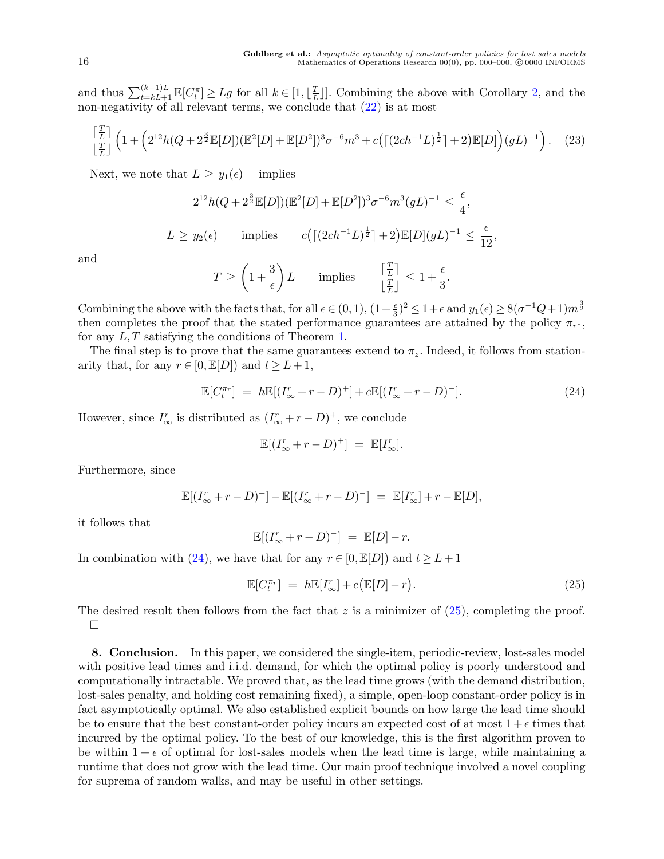and thus  $\sum_{t=k}^{(k+1)L} \mathbb{E}[C_t^{\overline{\pi}}] \geq Lg$  for all  $k \in [1, \lfloor \frac{T}{L} \rfloor]$  $\frac{T}{L}$ ]. Combining the above with Corollary [2](#page-14-0), and the non-negativity of all relevant terms, we conclude that  $(22)$  $(22)$  is at most

$$
\frac{\lceil \frac{T}{L} \rceil}{\lfloor \frac{T}{L} \rfloor} \left( 1 + \left( 2^{12} h (Q + 2^{\frac{3}{2}} \mathbb{E}[D])(\mathbb{E}^2[D] + \mathbb{E}[D^2])^3 \sigma^{-6} m^3 + c \left( \lceil (2ch^{-1}L)^{\frac{1}{2}} \rceil + 2 \right) \mathbb{E}[D] \right) (gL)^{-1} \right). \tag{23}
$$

Next, we note that  $L \geq y_1(\epsilon)$  implies

$$
2^{12}h(Q+2^{\frac{3}{2}}\mathbb{E}[D])(\mathbb{E}^{2}[D]+\mathbb{E}[D^{2}])^{3}\sigma^{-6}m^{3}(gL)^{-1} \leq \frac{\epsilon}{4},
$$
  
\n
$$
L \geq y_{2}(\epsilon) \qquad \text{implies} \qquad c\left(\left[\left(2ch^{-1}L\right)^{\frac{1}{2}}\right]+2\right)\mathbb{E}[D](gL)^{-1} \leq \frac{\epsilon}{12},
$$

and

$$
T \ge \left(1 + \frac{3}{\epsilon}\right)L \qquad \text{implies} \qquad \frac{\left\lceil \frac{T}{L} \right\rceil}{\left\lfloor \frac{T}{L} \right\rfloor} \le 1 + \frac{\epsilon}{3}.
$$

Combining the above with the facts that, for all  $\epsilon \in (0,1)$ ,  $(1+\frac{\epsilon}{3})^2 \leq 1+\epsilon$  and  $y_1(\epsilon) \geq 8(\sigma^{-1}Q+1)m^{\frac{3}{2}}$ then completes the proof that the stated performance guarantees are attained by the policy  $\pi_{r^*}$ , for any *L, T* satisfying the conditions of Theorem [1](#page-5-0).

The final step is to prove that the same guarantees extend to  $\pi_z$ . Indeed, it follows from stationarity that, for any  $r \in [0, \mathbb{E}[D])$  and  $t \geq L+1$ ,

<span id="page-15-1"></span>
$$
\mathbb{E}[C_t^{\pi_r}] = h\mathbb{E}[(I_{\infty}^r + r - D)^+] + c\mathbb{E}[(I_{\infty}^r + r - D)^-].
$$
\n(24)

However, since  $I^r_{\infty}$  is distributed as  $(I^r_{\infty} + r - D)^+$ , we conclude

$$
\mathbb{E}[(I_{\infty}^r + r - D)^+] = \mathbb{E}[I_{\infty}^r].
$$

Furthermore, since

$$
\mathbb{E}[(I^r_{\infty}+r-D)^+] - \mathbb{E}[(I^r_{\infty}+r-D)^-] = \mathbb{E}[I^r_{\infty}]+r-\mathbb{E}[D],
$$

it follows that

$$
\mathbb{E}[(I^r_{\infty}+r-D)^-] = \mathbb{E}[D]-r.
$$

In combination with [\(24](#page-15-1)), we have that for any  $r \in [0, \mathbb{E}[D])$  and  $t \geq L+1$ 

<span id="page-15-2"></span>
$$
\mathbb{E}[C_t^{\pi_r}] = h\mathbb{E}[I_{\infty}^r] + c(\mathbb{E}[D] - r).
$$
\n(25)

The desired result then follows from the fact that *z* is a minimizer of  $(25)$  $(25)$ , completing the proof. □

<span id="page-15-0"></span>**8. Conclusion.** In this paper, we considered the single-item, periodic-review, lost-sales model with positive lead times and i.i.d. demand, for which the optimal policy is poorly understood and computationally intractable. We proved that, as the lead time grows (with the demand distribution, lost-sales penalty, and holding cost remaining fixed), a simple, open-loop constant-order policy is in fact asymptotically optimal. We also established explicit bounds on how large the lead time should be to ensure that the best constant-order policy incurs an expected cost of at most  $1 + \epsilon$  times that incurred by the optimal policy. To the best of our knowledge, this is the first algorithm proven to be within  $1 + \epsilon$  of optimal for lost-sales models when the lead time is large, while maintaining a runtime that does not grow with the lead time. Our main proof technique involved a novel coupling for suprema of random walks, and may be useful in other settings.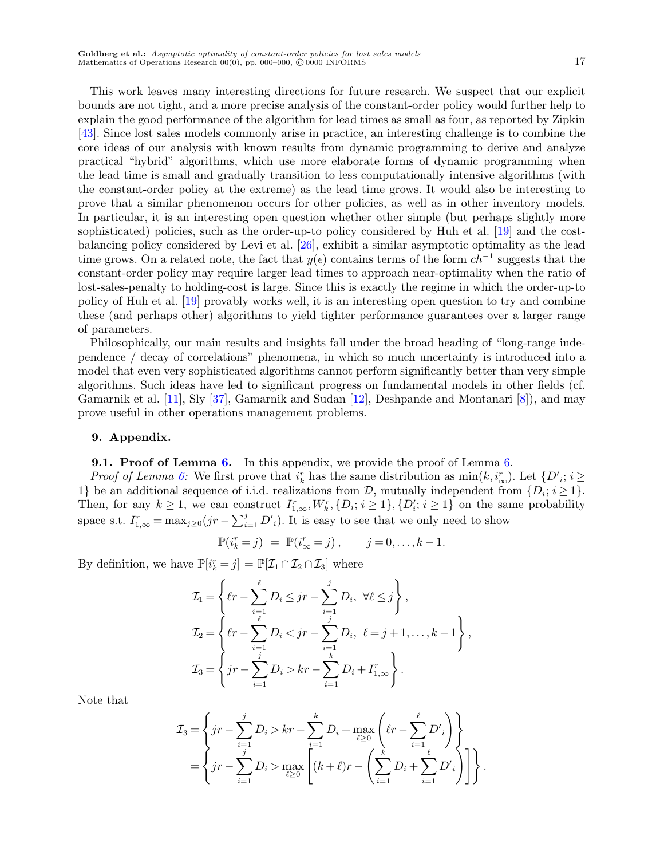This work leaves many interesting directions for future research. We suspect that our explicit bounds are not tight, and a more precise analysis of the constant-order policy would further help to explain the good performance of the algorithm for lead times as small as four, as reported by Zipkin [\[43](#page-19-4)]. Since lost sales models commonly arise in practice, an interesting challenge is to combine the core ideas of our analysis with known results from dynamic programming to derive and analyze practical "hybrid" algorithms, which use more elaborate forms of dynamic programming when the lead time is small and gradually transition to less computationally intensive algorithms (with the constant-order policy at the extreme) as the lead time grows. It would also be interesting to prove that a similar phenomenon occurs for other policies, as well as in other inventory models. In particular, it is an interesting open question whether other simple (but perhaps slightly more sophisticated) policies, such as the order-up-to policy considered by Huh et al. [[19\]](#page-18-8) and the costbalancing policy considered by Levi et al. [[26\]](#page-19-13), exhibit a similar asymptotic optimality as the lead time grows. On a related note, the fact that  $y(\epsilon)$  contains terms of the form  $ch^{-1}$  suggests that the constant-order policy may require larger lead times to approach near-optimality when the ratio of lost-sales-penalty to holding-cost is large. Since this is exactly the regime in which the order-up-to policy of Huh et al. [[19\]](#page-18-8) provably works well, it is an interesting open question to try and combine these (and perhaps other) algorithms to yield tighter performance guarantees over a larger range of parameters.

Philosophically, our main results and insights fall under the broad heading of "long-range independence / decay of correlations" phenomena, in which so much uncertainty is introduced into a model that even very sophisticated algorithms cannot perform significantly better than very simple algorithms. Such ideas have led to significant progress on fundamental models in other fields (cf. Gamarnik et al. [\[11](#page-18-18)], Sly [\[37](#page-19-22)], Gamarnik and Sudan [[12](#page-18-19)], Deshpande and Montanari [\[8\]](#page-18-20)), and may prove useful in other operations management problems.

#### <span id="page-16-0"></span>**9. Appendix.**

**9.1. Proof of Lemma [6.](#page-10-0)** In this appendix, we provide the proof of Lemma [6](#page-10-0).

*Proof of Lemma [6:](#page-10-0)* We first prove that  $i_k^r$  has the same distribution as  $\min(k, i_{\infty}^r)$ . Let  $\{D'_{i}; i \geq j\}$ 1} be an additional sequence of i.i.d. realizations from  $D$ , mutually independent from  $\{D_i; i \geq 1\}$ . Then, for any  $k \ge 1$ , we can construct  $I_{1,\infty}^r, W_k^r, \{D_i; i \ge 1\}, \{D_i^r; i \ge 1\}$  on the same probability space s.t.  $I_{1,\infty}^r = \max_{j\geq 0} (jr - \sum_{i=1}^j D'_i)$ . It is easy to see that we only need to show

$$
\mathbb{P}(i_k^r = j) = \mathbb{P}(i_{\infty}^r = j), \qquad j = 0, \dots, k - 1.
$$

By definition, we have  $\mathbb{P}[i_k^r = j] = \mathbb{P}[\mathcal{I}_1 \cap \mathcal{I}_2 \cap \mathcal{I}_3]$  where

$$
\mathcal{I}_1 = \left\{ \ell r - \sum_{i=1}^{\ell} D_i \leq j r - \sum_{i=1}^{j} D_i, \ \forall \ell \leq j \right\},
$$
\n
$$
\mathcal{I}_2 = \left\{ \ell r - \sum_{i=1}^{\ell} D_i < j r - \sum_{i=1}^{j} D_i, \ \ell = j+1, \dots, k-1 \right\},
$$
\n
$$
\mathcal{I}_3 = \left\{ j r - \sum_{i=1}^{j} D_i > k r - \sum_{i=1}^{k} D_i + I_{1,\infty}^r \right\}.
$$

Note that

$$
\mathcal{I}_3 = \left\{ jr - \sum_{i=1}^j D_i > kr - \sum_{i=1}^k D_i + \max_{\ell \ge 0} \left( \ell r - \sum_{i=1}^\ell D'_i \right) \right\}
$$
  
= 
$$
\left\{ jr - \sum_{i=1}^j D_i > \max_{\ell \ge 0} \left[ (k+\ell)r - \left( \sum_{i=1}^k D_i + \sum_{i=1}^\ell D'_i \right) \right] \right\}.
$$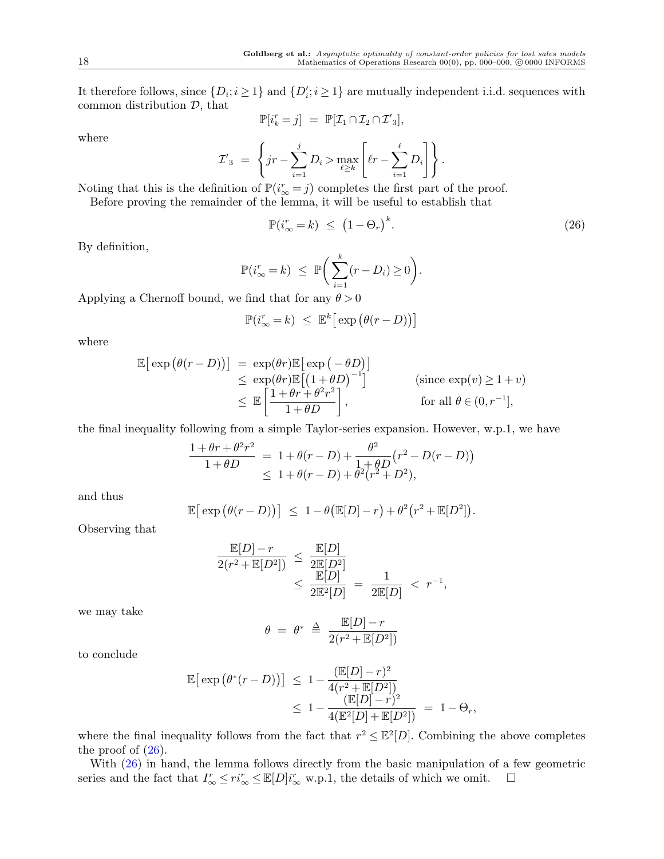It therefore follows, since  $\{D_i; i \geq 1\}$  and  $\{D'_i; i \geq 1\}$  are mutually independent i.i.d. sequences with common distribution *D*, that

$$
\mathbb{P}[i_k^r = j] = \mathbb{P}[\mathcal{I}_1 \cap \mathcal{I}_2 \cap \mathcal{I}'_3],
$$

where

$$
\mathcal{I'}_3 = \left\{ jr - \sum_{i=1}^j D_i > \max_{\ell \ge k} \left[ \ell r - \sum_{i=1}^{\ell} D_i \right] \right\}.
$$

Noting that this is the definition of  $\mathbb{P}(i_{\infty}^r = j)$  completes the first part of the proof.

Before proving the remainder of the lemma, it will be useful to establish that

<span id="page-17-0"></span>
$$
\mathbb{P}(i_{\infty}^r = k) \le (1 - \Theta_r)^k. \tag{26}
$$

By definition,

$$
\mathbb{P}(i_{\infty}^r = k) \leq \mathbb{P}\bigg(\sum_{i=1}^k (r - D_i) \geq 0\bigg).
$$

Applying a Chernoff bound, we find that for any  $\theta > 0$ 

$$
\mathbb{P}(i_{\infty}^r = k) \leq \mathbb{E}^k \big[ \exp \big( \theta(r - D) \big) \big]
$$

where

$$
\mathbb{E}\left[\exp\left(\theta(r-D)\right)\right] = \exp(\theta r)\mathbb{E}\left[\exp\left(-\theta D\right)\right] \n\leq \exp(\theta r)\mathbb{E}\left[\left(1+\theta D\right)^{-1}\right] \qquad \text{(since } \exp(v) \geq 1+v) \n\leq \mathbb{E}\left[\frac{1+\theta r+\theta^2 r^2}{1+\theta D}\right], \qquad \text{for all } \theta \in (0, r^{-1}],
$$

the final inequality following from a simple Taylor-series expansion. However, w.p.1, we have

$$
\frac{1+\theta r+\theta^2 r^2}{1+\theta D} = 1+\theta(r-D) + \frac{\theta^2}{1+\theta D}(r^2 - D(r-D))
$$
  

$$
\leq 1+\theta(r-D) + \theta^2(r^2 + D^2),
$$

and thus

$$
\mathbb{E}\big[\exp\big(\theta(r-D)\big)\big] \ \leq \ 1-\theta\big(\mathbb{E}[D]-r\big)+\theta^2\big(r^2+\mathbb{E}[D^2]\big).
$$

Observing that

$$
\frac{\mathbb{E}[D] - r}{2(r^2 + \mathbb{E}[D^2])} \le \frac{\mathbb{E}[D]}{2\mathbb{E}[D^2]} \le \frac{\mathbb{E}[D]}{2\mathbb{E}[D]} = \frac{1}{2\mathbb{E}[D]} < r^{-1},
$$

we may take

$$
\theta = \theta^* \triangleq \frac{\mathbb{E}[D] - r}{2(r^2 + \mathbb{E}[D^2])}
$$

to conclude

$$
\mathbb{E} \big[ \exp \big( \theta^*(r - D) \big) \big] \leq 1 - \frac{(\mathbb{E}[D] - r)^2}{4(r^2 + \mathbb{E}[D^2])} \\
\leq 1 - \frac{(\mathbb{E}[D] - r)^2}{4(\mathbb{E}^2[D] + \mathbb{E}[D^2])} = 1 - \Theta_r,
$$

where the final inequality follows from the fact that  $r^2 \leq \mathbb{E}^2[D]$ . Combining the above completes the proof of  $(26)$  $(26)$ .

With  $(26)$  $(26)$  in hand, the lemma follows directly from the basic manipulation of a few geometric series and the fact that  $I^r_\infty \leq r i^r_\infty \leq \mathbb{E}[D] i^r_\infty \text{ w.p.1, the details of which we omit. } \square$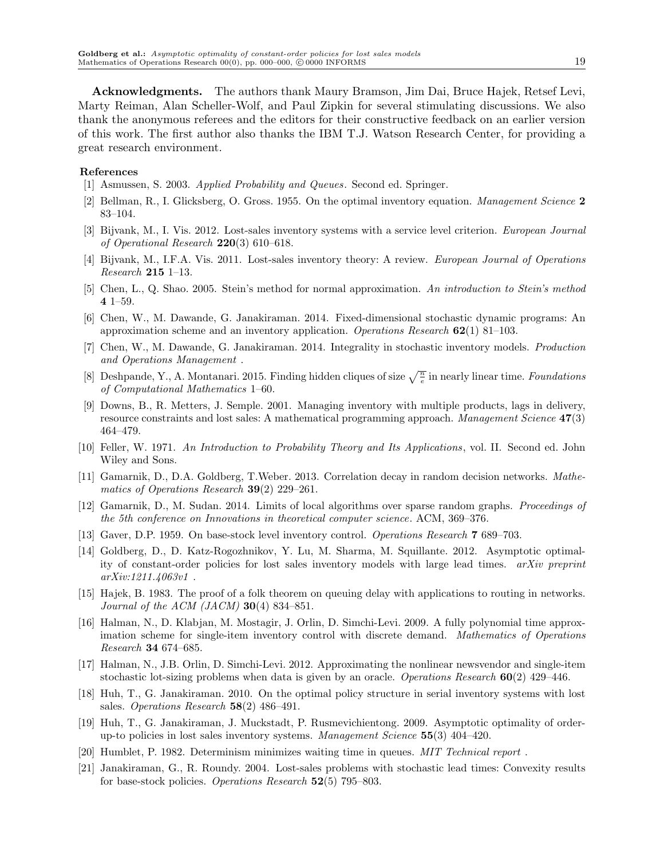**Acknowledgments.** The authors thank Maury Bramson, Jim Dai, Bruce Hajek, Retsef Levi, Marty Reiman, Alan Scheller-Wolf, and Paul Zipkin for several stimulating discussions. We also thank the anonymous referees and the editors for their constructive feedback on an earlier version of this work. The first author also thanks the IBM T.J. Watson Research Center, for providing a great research environment.

#### **References**

- <span id="page-18-12"></span>[1] Asmussen, S. 2003. *Applied Probability and Queues*. Second ed. Springer.
- <span id="page-18-1"></span>[2] Bellman, R., I. Glicksberg, O. Gross. 1955. On the optimal inventory equation. *Management Science* **2** 83–104.
- <span id="page-18-7"></span>[3] Bijvank, M., I. Vis. 2012. Lost-sales inventory systems with a service level criterion. *European Journal of Operational Research* **220**(3) 610–618.
- <span id="page-18-0"></span>[4] Bijvank, M., I.F.A. Vis. 2011. Lost-sales inventory theory: A review. *European Journal of Operations Research* **215** 1–13.
- <span id="page-18-17"></span>[5] Chen, L., Q. Shao. 2005. Stein's method for normal approximation. *An introduction to Stein's method* **4** 1–59.
- <span id="page-18-10"></span>[6] Chen, W., M. Dawande, G. Janakiraman. 2014. Fixed-dimensional stochastic dynamic programs: An approximation scheme and an inventory application. *Operations Research* **62**(1) 81–103.
- <span id="page-18-11"></span>[7] Chen, W., M. Dawande, G. Janakiraman. 2014. Integrality in stochastic inventory models. *Production and Operations Management* .
- <span id="page-18-20"></span>[8] Deshpande, Y., A. Montanari. 2015. Finding hidden cliques of size  $\sqrt{\frac{n}{e}}$  in nearly linear time. *Foundations of Computational Mathematics* 1–60.
- <span id="page-18-5"></span>[9] Downs, B., R. Metters, J. Semple. 2001. Managing inventory with multiple products, lags in delivery, resource constraints and lost sales: A mathematical programming approach. *Management Science* **47**(3) 464–479.
- <span id="page-18-16"></span>[10] Feller, W. 1971. *An Introduction to Probability Theory and Its Applications*, vol. II. Second ed. John Wiley and Sons.
- <span id="page-18-18"></span>[11] Gamarnik, D., D.A. Goldberg, T.Weber. 2013. Correlation decay in random decision networks. *Mathematics of Operations Research* **39**(2) 229–261.
- <span id="page-18-19"></span>[12] Gamarnik, D., M. Sudan. 2014. Limits of local algorithms over sparse random graphs. *Proceedings of the 5th conference on Innovations in theoretical computer science*. ACM, 369–376.
- <span id="page-18-4"></span>[13] Gaver, D.P. 1959. On base-stock level inventory control. *Operations Research* **7** 689–703.
- <span id="page-18-13"></span>[14] Goldberg, D., D. Katz-Rogozhnikov, Y. Lu, M. Sharma, M. Squillante. 2012. Asymptotic optimality of constant-order policies for lost sales inventory models with large lead times. *arXiv preprint arXiv:1211.4063v1* .
- <span id="page-18-14"></span>[15] Hajek, B. 1983. The proof of a folk theorem on queuing delay with applications to routing in networks. *Journal of the ACM (JACM)* **30**(4) 834–851.
- <span id="page-18-9"></span>[16] Halman, N., D. Klabjan, M. Mostagir, J. Orlin, D. Simchi-Levi. 2009. A fully polynomial time approximation scheme for single-item inventory control with discrete demand. *Mathematics of Operations Research* **34** 674–685.
- <span id="page-18-3"></span>[17] Halman, N., J.B. Orlin, D. Simchi-Levi. 2012. Approximating the nonlinear newsvendor and single-item stochastic lot-sizing problems when data is given by an oracle. *Operations Research* **60**(2) 429–446.
- <span id="page-18-2"></span>[18] Huh, T., G. Janakiraman. 2010. On the optimal policy structure in serial inventory systems with lost sales. *Operations Research* **58**(2) 486–491.
- <span id="page-18-8"></span>[19] Huh, T., G. Janakiraman, J. Muckstadt, P. Rusmevichientong. 2009. Asymptotic optimality of orderup-to policies in lost sales inventory systems. *Management Science* **55**(3) 404–420.
- <span id="page-18-15"></span>[20] Humblet, P. 1982. Determinism minimizes waiting time in queues. *MIT Technical report* .
- <span id="page-18-6"></span>[21] Janakiraman, G., R. Roundy. 2004. Lost-sales problems with stochastic lead times: Convexity results for base-stock policies. *Operations Research* **52**(5) 795–803.